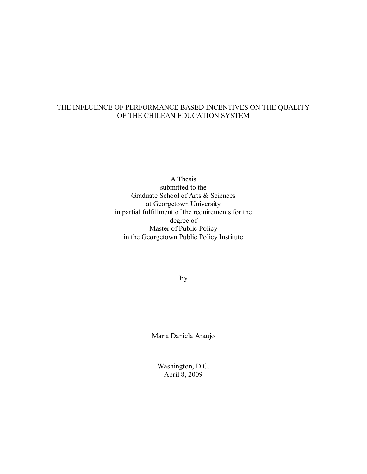#### THE INFLUENCE OF PERFORMANCE BASED INCENTIVES ON THE QUALITY OF THE CHILEAN EDUCATION SYSTEM

A Thesis submitted to the Graduate School of Arts & Sciences at Georgetown University in partial fulfillment of the requirements for the degree of Master of Public Policy in the Georgetown Public Policy Institute

By

Maria Daniela Araujo

Washington, D.C. April 8, 2009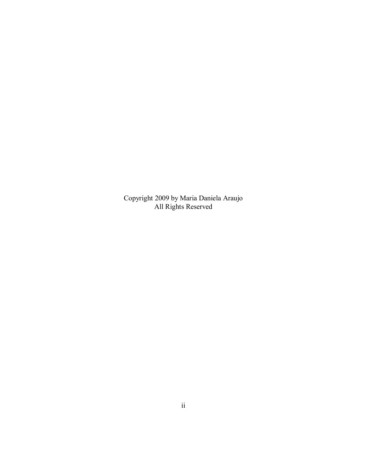Copyright 2009 by Maria Daniela Araujo All Rights Reserved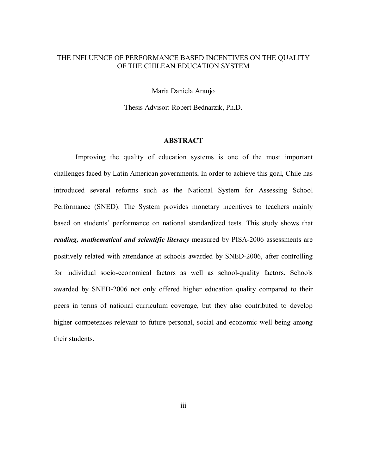#### THE INFLUENCE OF PERFORMANCE BASED INCENTIVES ON THE QUALITY OF THE CHILEAN EDUCATION SYSTEM

Maria Daniela Araujo

Thesis Advisor: Robert Bednarzik, Ph.D.

#### **ABSTRACT**

Improving the quality of education systems is one of the most important challenges faced by Latin American governments**.** In order to achieve this goal, Chile has introduced several reforms such as the National System for Assessing School Performance (SNED). The System provides monetary incentives to teachers mainly based on students' performance on national standardized tests. This study shows that *reading, mathematical and scientific literacy* measured by PISA-2006 assessments are positively related with attendance at schools awarded by SNED-2006, after controlling for individual socio-economical factors as well as school-quality factors. Schools awarded by SNED-2006 not only offered higher education quality compared to their peers in terms of national curriculum coverage, but they also contributed to develop higher competences relevant to future personal, social and economic well being among their students.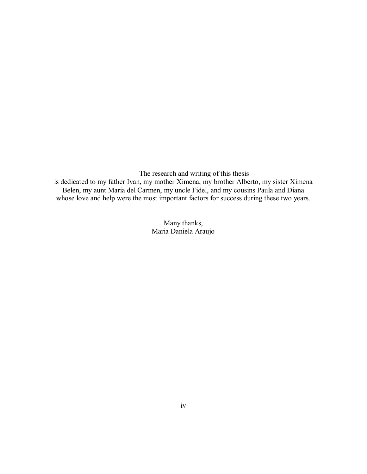The research and writing of this thesis

is dedicated to my father Ivan, my mother Ximena, my brother Alberto, my sister Ximena Belen, my aunt Maria del Carmen, my uncle Fidel, and my cousins Paula and Diana whose love and help were the most important factors for success during these two years.

> Many thanks, Maria Daniela Araujo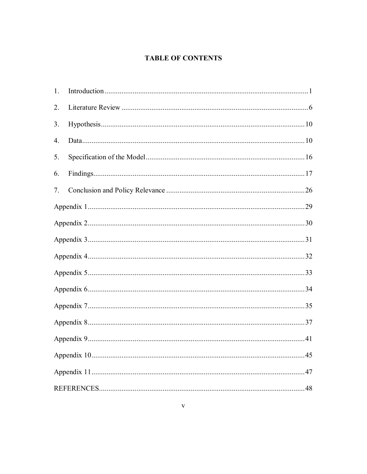#### **TABLE OF CONTENTS**

| 1. |  |
|----|--|
| 2. |  |
| 3. |  |
| 4. |  |
| 5. |  |
| 6. |  |
| 7. |  |
|    |  |
|    |  |
|    |  |
|    |  |
|    |  |
|    |  |
|    |  |
|    |  |
|    |  |
|    |  |
|    |  |
|    |  |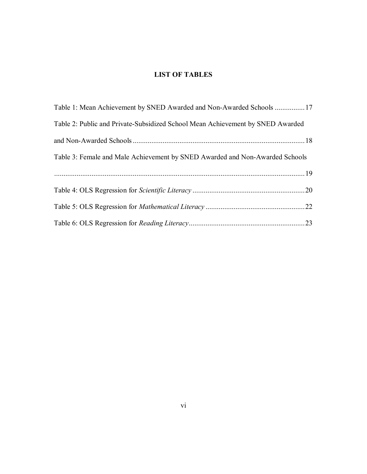#### **LIST OF TABLES**

| Table 1: Mean Achievement by SNED Awarded and Non-Awarded Schools 17           |  |
|--------------------------------------------------------------------------------|--|
| Table 2: Public and Private-Subsidized School Mean Achievement by SNED Awarded |  |
|                                                                                |  |
| Table 3: Female and Male Achievement by SNED Awarded and Non-Awarded Schools   |  |
|                                                                                |  |
|                                                                                |  |
|                                                                                |  |
|                                                                                |  |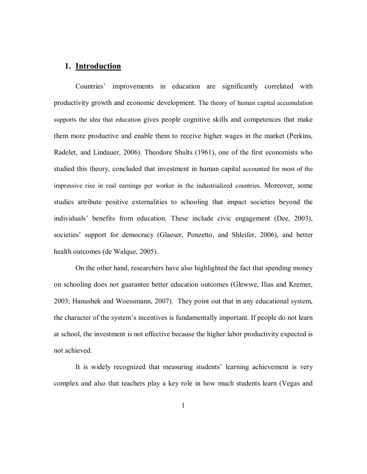#### **1. Introduction**

Countries' improvements in education are significantly correlated with productivity growth and economic development. The theory of human capital accumulation supports the idea that education gives people cognitive skills and competences that make them more productive and enable them to receive higher wages in the market (Perkins, Radelet, and Lindauer, 2006). Theodore Shults (1961), one of the first economists who studied this theory, concluded that investment in human capital accounted for most of the impressive rise in real earnings per worker in the industrialized countries. Moreover, some studies attribute positive externalities to schooling that impact societies beyond the individuals' benefits from education. These include civic engagement (Dee, 2003), societies' support for democracy (Glaeser, Ponzetto, and Shleifer, 2006), and better health outcomes (de Walque, 2005).

On the other hand, researchers have also highlighted the fact that spending money on schooling does not guarantee better education outcomes (Glewwe, Ilias and Kremer, 2003; Hanushek and Woessmann, 2007). They point out that in any educational system, the character of the system's incentives is fundamentally important. If people do not learn at school, the investment is not effective because the higher labor productivity expected is not achieved.

It is widely recognized that measuring students' learning achievement is very complex and also that teachers play a key role in how much students learn (Vegas and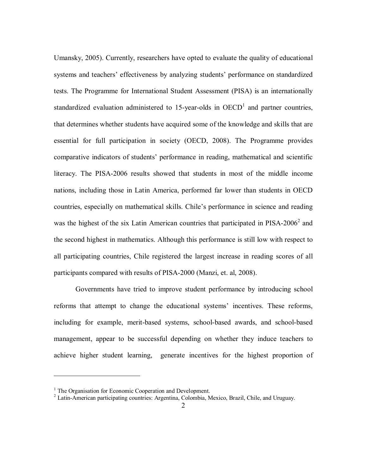Umansky, 2005). Currently, researchers have opted to evaluate the quality of educational systems and teachers' effectiveness by analyzing students' performance on standardized tests. The Programme for International Student Assessment (PISA) is an internationally standardized evaluation administered to 15-year-olds in  $OECD<sup>1</sup>$  and partner countries, that determines whether students have acquired some of the knowledge and skills that are essential for full participation in society (OECD, 2008). The Programme provides comparative indicators of students' performance in reading, mathematical and scientific literacy. The PISA-2006 results showed that students in most of the middle income nations, including those in Latin America, performed far lower than students in OECD countries, especially on mathematical skills. Chile's performance in science and reading was the highest of the six Latin American countries that participated in  $PISA-2006<sup>2</sup>$  and the second highest in mathematics. Although this performance is still low with respect to all participating countries, Chile registered the largest increase in reading scores of all participants compared with results of PISA-2000 (Manzi, et. al, 2008).

Governments have tried to improve student performance by introducing school reforms that attempt to change the educational systems' incentives. These reforms, including for example, merit-based systems, school-based awards, and school-based management, appear to be successful depending on whether they induce teachers to achieve higher student learning, generate incentives for the highest proportion of

1

<sup>&</sup>lt;sup>1</sup> The Organisation for Economic Cooperation and Development.

<sup>&</sup>lt;sup>2</sup> Latin-American participating countries: Argentina, Colombia, Mexico, Brazil, Chile, and Uruguay.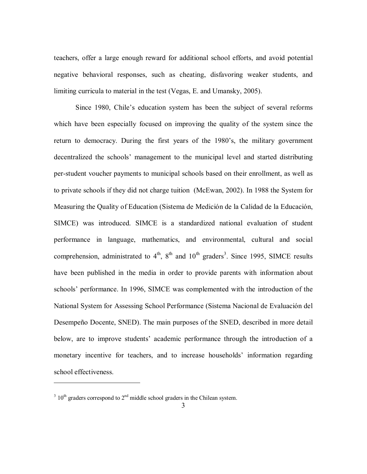teachers, offer a large enough reward for additional school efforts, and avoid potential negative behavioral responses, such as cheating, disfavoring weaker students, and limiting curricula to material in the test (Vegas, E. and Umansky, 2005).

Since 1980, Chile's education system has been the subject of several reforms which have been especially focused on improving the quality of the system since the return to democracy. During the first years of the 1980's, the military government decentralized the schools' management to the municipal level and started distributing per-student voucher payments to municipal schools based on their enrollment, as well as to private schools if they did not charge tuition (McEwan, 2002). In 1988 the System for Measuring the Quality of Education (Sistema de Medición de la Calidad de la Educación, SIMCE) was introduced. SIMCE is a standardized national evaluation of student performance in language, mathematics, and environmental, cultural and social comprehension, administrated to  $4^{\text{th}}$ ,  $8^{\text{th}}$  and  $10^{\text{th}}$  graders<sup>3</sup>. Since 1995, SIMCE results have been published in the media in order to provide parents with information about schools' performance. In 1996, SIMCE was complemented with the introduction of the National System for Assessing School Performance (Sistema Nacional de Evaluación del Desempeño Docente, SNED). The main purposes of the SNED, described in more detail below, are to improve students' academic performance through the introduction of a monetary incentive for teachers, and to increase households' information regarding school effectiveness.

 $\overline{a}$ 

 $3 \times 10^{th}$  graders correspond to  $2^{nd}$  middle school graders in the Chilean system.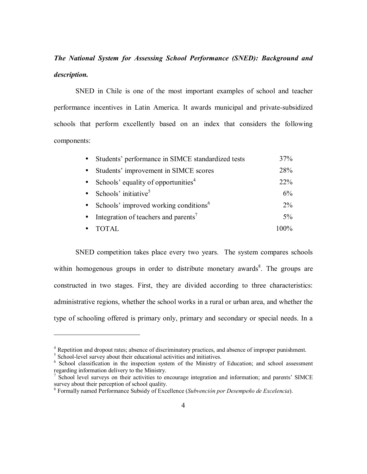# *The National System for Assessing School Performance (SNED): Background and description.*

SNED in Chile is one of the most important examples of school and teacher performance incentives in Latin America. It awards municipal and private-subsidized schools that perform excellently based on an index that considers the following components:

| $\bullet$ | Students' performance in SIMCE standardized tests | 37%     |
|-----------|---------------------------------------------------|---------|
|           | Students' improvement in SIMCE scores             | 28%     |
|           | Schools' equality of opportunities <sup>4</sup>   | $22\%$  |
|           | Schools' initiative <sup>5</sup>                  | 6%      |
|           | Schools' improved working conditions <sup>6</sup> | $2\%$   |
|           | Integration of teachers and parents <sup>7</sup>  | $5\%$   |
|           | TOTAL                                             | $100\%$ |

SNED competition takes place every two years. The system compares schools within homogenous groups in order to distribute monetary awards<sup>8</sup>. The groups are constructed in two stages. First, they are divided according to three characteristics: administrative regions, whether the school works in a rural or urban area, and whether the type of schooling offered is primary only, primary and secondary or special needs. In a

 $\overline{a}$ 

<sup>&</sup>lt;sup>4</sup> Repetition and dropout rates; absence of discriminatory practices, and absence of improper punishment.

<sup>&</sup>lt;sup>5</sup> School-level survey about their educational activities and initiatives.

<sup>&</sup>lt;sup>6</sup> School classification in the inspection system of the Ministry of Education; and school assessment regarding information delivery to the Ministry.

<sup>&</sup>lt;sup>7</sup> School level surveys on their activities to encourage integration and information; and parents' SIMCE survey about their perception of school quality.

<sup>&</sup>lt;sup>8</sup> Formally named Performance Subsidy of Excellence (*Subvención por Desempeño de Excelencia*).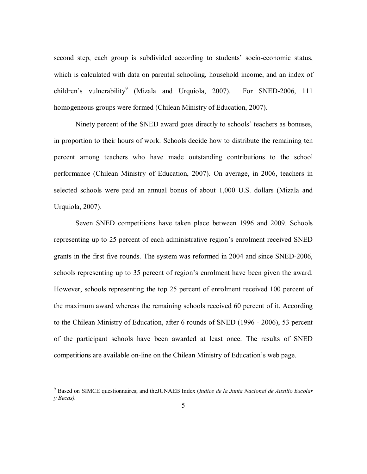second step, each group is subdivided according to students' socio-economic status, which is calculated with data on parental schooling, household income, and an index of children's vulnerability<sup>9</sup> (Mizala and Urquiola, 2007). For SNED-2006, 111 homogeneous groups were formed (Chilean Ministry of Education, 2007).

Ninety percent of the SNED award goes directly to schools' teachers as bonuses, in proportion to their hours of work. Schools decide how to distribute the remaining ten percent among teachers who have made outstanding contributions to the school performance (Chilean Ministry of Education, 2007). On average, in 2006, teachers in selected schools were paid an annual bonus of about 1,000 U.S. dollars (Mizala and Urquiola, 2007).

Seven SNED competitions have taken place between 1996 and 2009. Schools representing up to 25 percent of each administrative region's enrolment received SNED grants in the first five rounds. The system was reformed in 2004 and since SNED-2006, schools representing up to 35 percent of region's enrolment have been given the award. However, schools representing the top 25 percent of enrolment received 100 percent of the maximum award whereas the remaining schools received 60 percent of it. According to the Chilean Ministry of Education, after 6 rounds of SNED (1996 - 2006), 53 percent of the participant schools have been awarded at least once. The results of SNED competitions are available on-line on the Chilean Ministry of Education's web page.

 $\overline{a}$ 

<sup>9</sup> Based on SIMCE questionnaires; and theJUNAEB Index (*Indice de la Junta Nacional de Auxilio Escolar y Becas).*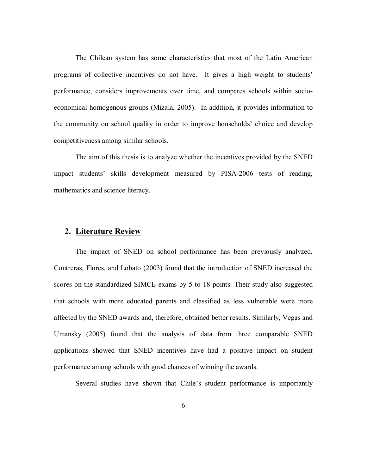The Chilean system has some characteristics that most of the Latin American programs of collective incentives do not have. It gives a high weight to students' performance, considers improvements over time, and compares schools within socioeconomical homogenous groups (Mizala, 2005). In addition, it provides information to the community on school quality in order to improve households' choice and develop competitiveness among similar schools.

The aim of this thesis is to analyze whether the incentives provided by the SNED impact students' skills development measured by PISA-2006 tests of reading, mathematics and science literacy.

#### **2. Literature Review**

The impact of SNED on school performance has been previously analyzed. Contreras, Flores, and Lobato (2003) found that the introduction of SNED increased the scores on the standardized SIMCE exams by 5 to 18 points. Their study also suggested that schools with more educated parents and classified as less vulnerable were more affected by the SNED awards and, therefore, obtained better results. Similarly, Vegas and Umansky (2005) found that the analysis of data from three comparable SNED applications showed that SNED incentives have had a positive impact on student performance among schools with good chances of winning the awards.

Several studies have shown that Chile's student performance is importantly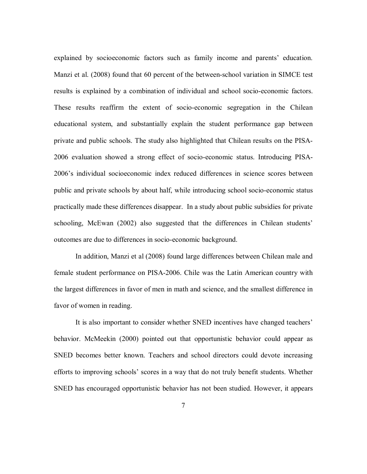explained by socioeconomic factors such as family income and parents' education. Manzi et al. (2008) found that 60 percent of the between-school variation in SIMCE test results is explained by a combination of individual and school socio-economic factors. These results reaffirm the extent of socio-economic segregation in the Chilean educational system, and substantially explain the student performance gap between private and public schools. The study also highlighted that Chilean results on the PISA-2006 evaluation showed a strong effect of socio-economic status. Introducing PISA-2006ís individual socioeconomic index reduced differences in science scores between public and private schools by about half, while introducing school socio-economic status practically made these differences disappear. In a study about public subsidies for private schooling, McEwan (2002) also suggested that the differences in Chilean students' outcomes are due to differences in socio-economic background.

In addition, Manzi et al (2008) found large differences between Chilean male and female student performance on PISA-2006. Chile was the Latin American country with the largest differences in favor of men in math and science, and the smallest difference in favor of women in reading.

It is also important to consider whether SNED incentives have changed teachers' behavior. McMeekin (2000) pointed out that opportunistic behavior could appear as SNED becomes better known. Teachers and school directors could devote increasing efforts to improving schools' scores in a way that do not truly benefit students. Whether SNED has encouraged opportunistic behavior has not been studied. However, it appears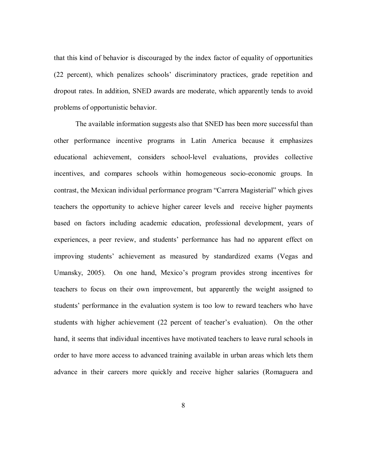that this kind of behavior is discouraged by the index factor of equality of opportunities  $(22 \text{ percent})$ , which penalizes schools discriminatory practices, grade repetition and dropout rates. In addition, SNED awards are moderate, which apparently tends to avoid problems of opportunistic behavior.

The available information suggests also that SNED has been more successful than other performance incentive programs in Latin America because it emphasizes educational achievement, considers school-level evaluations, provides collective incentives, and compares schools within homogeneous socio-economic groups. In contrast, the Mexican individual performance program "Carrera Magisterial" which gives teachers the opportunity to achieve higher career levels and receive higher payments based on factors including academic education, professional development, years of experiences, a peer review, and students' performance has had no apparent effect on improving students' achievement as measured by standardized exams (Vegas and Umansky, 2005). On one hand, Mexico's program provides strong incentives for teachers to focus on their own improvement, but apparently the weight assigned to students' performance in the evaluation system is too low to reward teachers who have students with higher achievement (22 percent of teacher's evaluation). On the other hand, it seems that individual incentives have motivated teachers to leave rural schools in order to have more access to advanced training available in urban areas which lets them advance in their careers more quickly and receive higher salaries (Romaguera and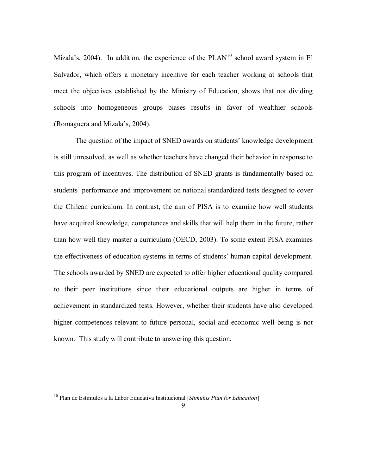Mizala's, 2004). In addition, the experience of the  $PLAN<sup>10</sup>$  school award system in El Salvador, which offers a monetary incentive for each teacher working at schools that meet the objectives established by the Ministry of Education, shows that not dividing schools into homogeneous groups biases results in favor of wealthier schools (Romaguera and Mizala's, 2004).

The question of the impact of SNED awards on students' knowledge development is still unresolved, as well as whether teachers have changed their behavior in response to this program of incentives. The distribution of SNED grants is fundamentally based on students' performance and improvement on national standardized tests designed to cover the Chilean curriculum. In contrast, the aim of PISA is to examine how well students have acquired knowledge, competences and skills that will help them in the future, rather than how well they master a curriculum (OECD, 2003). To some extent PISA examines the effectiveness of education systems in terms of students' human capital development. The schools awarded by SNED are expected to offer higher educational quality compared to their peer institutions since their educational outputs are higher in terms of achievement in standardized tests. However, whether their students have also developed higher competences relevant to future personal, social and economic well being is not known. This study will contribute to answering this question.

1

<sup>&</sup>lt;sup>10</sup> Plan de Estímulos a la Labor Educativa Institucional [*Stimulus Plan for Education*]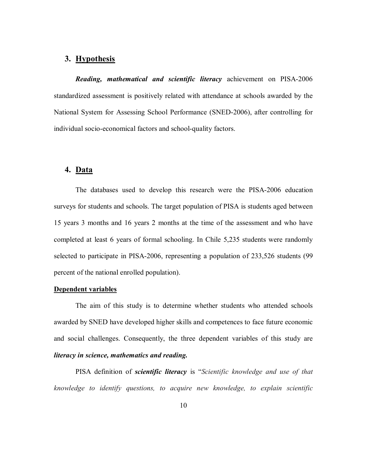#### **3. Hypothesis**

*Reading, mathematical and scientific literacy* achievement on PISA-2006 standardized assessment is positively related with attendance at schools awarded by the National System for Assessing School Performance (SNED-2006), after controlling for individual socio-economical factors and school-quality factors.

#### **4. Data**

The databases used to develop this research were the PISA-2006 education surveys for students and schools. The target population of PISA is students aged between 15 years 3 months and 16 years 2 months at the time of the assessment and who have completed at least 6 years of formal schooling. In Chile 5,235 students were randomly selected to participate in PISA-2006, representing a population of 233,526 students (99) percent of the national enrolled population).

#### **Dependent variables**

The aim of this study is to determine whether students who attended schools awarded by SNED have developed higher skills and competences to face future economic and social challenges. Consequently, the three dependent variables of this study are *literacy in science, mathematics and reading.*

PISA definition of *scientific literacy* is "*Scientific knowledge and use of that knowledge to identify questions, to acquire new knowledge, to explain scientific*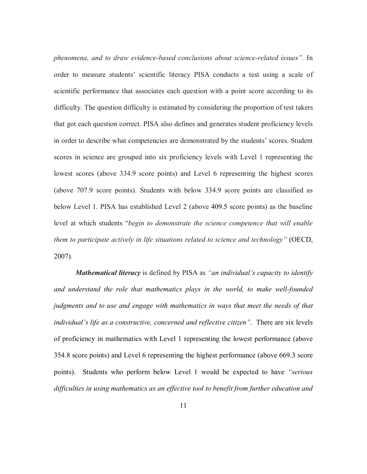*phenomena, and to draw evidence-based conclusions about science-related issuesî.* In order to measure students' scientific literacy PISA conducts a test using a scale of scientific performance that associates each question with a point score according to its difficulty. The question difficulty is estimated by considering the proportion of test takers that got each question correct. PISA also defines and generates student proficiency levels in order to describe what competencies are demonstrated by the students' scores. Student scores in science are grouped into six proficiency levels with Level 1 representing the lowest scores (above 334.9 score points) and Level 6 representing the highest scores (above 707.9 score points). Students with below 334.9 score points are classified as below Level 1. PISA has established Level 2 (above 409.5 score points) as the baseline level at which students *<sup><i>'begin to demonstrate the science competence that will enable*</sup> *them to participate actively in life situations related to science and technology*" (OECD, 2007)*.* 

*Mathematical literacy* is defined by PISA as "an individual's capacity to identify *and understand the role that mathematics plays in the world, to make well-founded judgments and to use and engage with mathematics in ways that meet the needs of that individual's life as a constructive, concerned and reflective citizen*". There are six levels of proficiency in mathematics with Level 1 representing the lowest performance (above 354.8 score points) and Level 6 representing the highest performance (above 669.3 score points). Students who perform below Level 1 would be expected to have "serious *difficulties in using mathematics as an effective tool to benefit from further education and*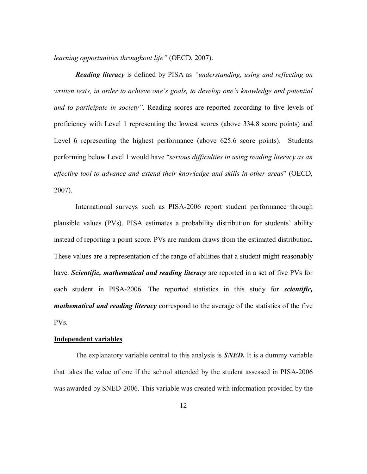*learning opportunities throughout life*" (OECD, 2007).

*Reading literacy* is defined by PISA as *"understanding, using and reflecting on written texts, in order to achieve one's goals, to develop one's knowledge and potential and to participate in society*". Reading scores are reported according to five levels of proficiency with Level 1 representing the lowest scores (above 334.8 score points) and Level 6 representing the highest performance (above 625.6 score points). Students performing below Level 1 would have "serious difficulties in using reading literacy as an *effective tool to advance and extend their knowledge and skills in other areas*î (OECD, 2007).

International surveys such as PISA-2006 report student performance through plausible values (PVs). PISA estimates a probability distribution for studentsí ability instead of reporting a point score. PVs are random draws from the estimated distribution. These values are a representation of the range of abilities that a student might reasonably have. *Scientific, mathematical and reading literacy* are reported in a set of five PVs for each student in PISA-2006. The reported statistics in this study for *scientific, mathematical and reading literacy* correspond to the average of the statistics of the five PVs.

#### **Independent variables**

The explanatory variable central to this analysis is *SNED.* It is a dummy variable that takes the value of one if the school attended by the student assessed in PISA-2006 was awarded by SNED-2006. This variable was created with information provided by the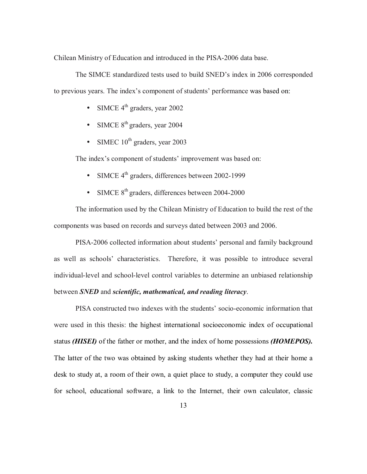Chilean Ministry of Education and introduced in the PISA-2006 data base.

The SIMCE standardized tests used to build SNED's index in 2006 corresponded to previous years. The index's component of students' performance was based on:

- SIMCE  $4^{\text{th}}$  graders, year 2002
- SIMCE  $8<sup>th</sup>$  graders, year 2004
- SIMEC  $10^{th}$  graders, year 2003

The index's component of students' improvement was based on:

- SIMCE 4<sup>th</sup> graders, differences between 2002-1999
- SIMCE 8<sup>th</sup> graders, differences between 2004-2000

The information used by the Chilean Ministry of Education to build the rest of the components was based on records and surveys dated between 2003 and 2006.

PISA-2006 collected information about students' personal and family background as well as schools' characteristics. Therefore, it was possible to introduce several individual-level and school-level control variables to determine an unbiased relationship between *SNED* and *scientific, mathematical, and reading literacy*.

PISA constructed two indexes with the students' socio-economic information that were used in this thesis: the highest international socioeconomic index of occupational status *(HISEI)* of the father or mother, and the index of home possessions *(HOMEPOS).*  The latter of the two was obtained by asking students whether they had at their home a desk to study at, a room of their own, a quiet place to study, a computer they could use for school, educational software, a link to the Internet, their own calculator, classic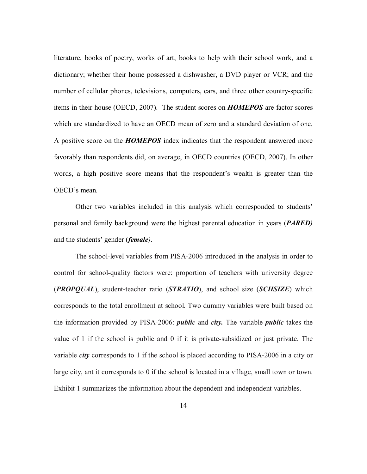literature, books of poetry, works of art, books to help with their school work, and a dictionary; whether their home possessed a dishwasher, a DVD player or VCR; and the number of cellular phones, televisions, computers, cars, and three other country-specific items in their house (OECD, 2007). The student scores on *HOMEPOS* are factor scores which are standardized to have an OECD mean of zero and a standard deviation of one. A positive score on the *HOMEPOS* index indicates that the respondent answered more favorably than respondents did, on average, in OECD countries (OECD, 2007). In other words, a high positive score means that the respondent's wealth is greater than the OECD's mean.

Other two variables included in this analysis which corresponded to studentsí personal and family background were the highest parental education in years (*PARED)*  and the students' gender (*female*).

The school-level variables from PISA-2006 introduced in the analysis in order to control for school-quality factors were: proportion of teachers with university degree (*PROPQUAL*), student-teacher ratio (*STRATIO*), and school size (*SCHSIZE*) which corresponds to the total enrollment at school. Two dummy variables were built based on the information provided by PISA-2006: *public* and *city.* The variable *public* takes the value of 1 if the school is public and 0 if it is private-subsidized or just private. The variable *city* corresponds to 1 if the school is placed according to PISA-2006 in a city or large city, ant it corresponds to 0 if the school is located in a village, small town or town. Exhibit 1 summarizes the information about the dependent and independent variables.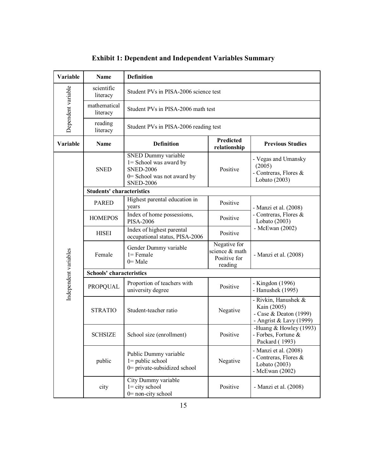| <b>Variable</b>       | <b>Name</b>                      | <b>Definition</b>                                                                                                   |                                                           |                                                                                          |  |  |
|-----------------------|----------------------------------|---------------------------------------------------------------------------------------------------------------------|-----------------------------------------------------------|------------------------------------------------------------------------------------------|--|--|
|                       | scientific<br>literacy           | Student PVs in PISA-2006 science test                                                                               |                                                           |                                                                                          |  |  |
| Dependent variable    | mathematical<br>literacy         | Student PVs in PISA-2006 math test                                                                                  |                                                           |                                                                                          |  |  |
|                       | reading<br>literacy              |                                                                                                                     | Student PVs in PISA-2006 reading test                     |                                                                                          |  |  |
| Variable              | Name                             | Predicted<br><b>Definition</b><br><b>Previous Studies</b><br>relationship                                           |                                                           |                                                                                          |  |  |
|                       | <b>SNED</b>                      | SNED Dummy variable<br>1= School was award by<br><b>SNED-2006</b><br>0= School was not award by<br><b>SNED-2006</b> | Positive                                                  | - Vegas and Umansky<br>(2005)<br>- Contreras, Flores &<br>Lobato (2003)                  |  |  |
|                       | <b>Students' characteristics</b> |                                                                                                                     |                                                           |                                                                                          |  |  |
|                       | <b>PARED</b>                     | Highest parental education in<br>years                                                                              | Positive                                                  | - Manzi et al. (2008)                                                                    |  |  |
|                       | <b>HOMEPOS</b>                   | Index of home possessions,<br><b>PISA-2006</b>                                                                      | Positive                                                  | - Contreras, Flores &<br>Lobato (2003)                                                   |  |  |
|                       | <b>HISEI</b>                     | Index of highest parental<br>occupational status, PISA-2006                                                         | Positive                                                  | - McEwan $(2002)$                                                                        |  |  |
| Independent variables | Female                           | Gender Dummy variable<br>$l =$ Female<br>$0=$ Male                                                                  | Negative for<br>science & math<br>Positive for<br>reading | - Manzi et al. (2008)                                                                    |  |  |
|                       | <b>Schools' characteristics</b>  |                                                                                                                     |                                                           |                                                                                          |  |  |
|                       | <b>PROPQUAL</b>                  | Proportion of teachers with<br>university degree                                                                    | Positive                                                  | - Kingdon (1996)<br>- Hanushek (1995)                                                    |  |  |
|                       | <b>STRATIO</b>                   | Student-teacher ratio                                                                                               | Negative                                                  | - Rivkin, Hanushek &<br>Kain (2005)<br>- Case & Deaton (1999)<br>- Angrist & Lavy (1999) |  |  |
|                       | <b>SCHSIZE</b>                   | School size (enrollment)                                                                                            | Positive                                                  | -Huang & Howley $(1993)$<br>- Forbes, Fortune &<br>Packard (1993)                        |  |  |
|                       | public                           | Public Dummy variable<br>$1 =$ public school<br>0= private-subsidized school                                        | Negative                                                  | - Manzi et al. (2008)<br>- Contreras, Flores &<br>Lobato (2003)<br>- McEwan (2002)       |  |  |
|                       | city                             | City Dummy variable<br>$1 =$ city school<br>$0$ = non-city school                                                   | Positive                                                  | - Manzi et al. (2008)                                                                    |  |  |

# **Exhibit 1: Dependent and Independent Variables Summary**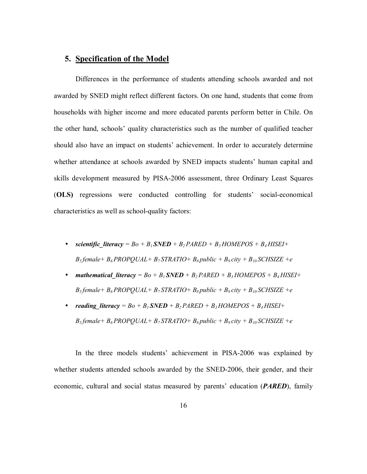#### **5. Specification of the Model**

Differences in the performance of students attending schools awarded and not awarded by SNED might reflect different factors. On one hand, students that come from households with higher income and more educated parents perform better in Chile. On the other hand, schools' quality characteristics such as the number of qualified teacher should also have an impact on students' achievement. In order to accurately determine whether attendance at schools awarded by SNED impacts students' human capital and skills development measured by PISA-2006 assessment, three Ordinary Least Squares (OLS) regressions were conducted controlling for students' social-economical characteristics as well as school-quality factors:

- *scientific literacy* =  $Bo + B_1$  *SNED* +  $B_2$  *PARED* +  $B_3$  *HOMEPOS* +  $B_4$  *HISEI* +  $B_5$  *female* +  $B_6$  *PROPQUAL* +  $B_7$  *STRATIO* +  $B_8$  *public* +  $B_9$  *city* +  $B_{10}$  *SCHSIZE* + *e*
- *mathematical literacy* =  $Bo + B_1$  *SNED + B<sub>2</sub> PARED + B<sub>3</sub> HOMEPOS + B<sub>4</sub> HISEI+*  $B_5$  female +  $B_6$  PROPQUAL +  $B_7$  STRATIO +  $B_8$  public +  $B_9$  city +  $B_{10}$  SCHSIZE +e
- *reading literacy* =  $Bo + B_1$  *SNED* +  $B_2$  *PARED* +  $B_3$  *HOMEPOS* +  $B_4$  *HISEI* +  $B_5$  *female* +  $B_6$  *PROPQUAL* +  $B_7$  *STRATIO* +  $B_8$  *public* +  $B_9$  *city* +  $B_{10}$  *SCHSIZE* + *e*

In the three models students' achievement in PISA-2006 was explained by whether students attended schools awarded by the SNED-2006, their gender, and their economic, cultural and social status measured by parents' education (*PARED*), family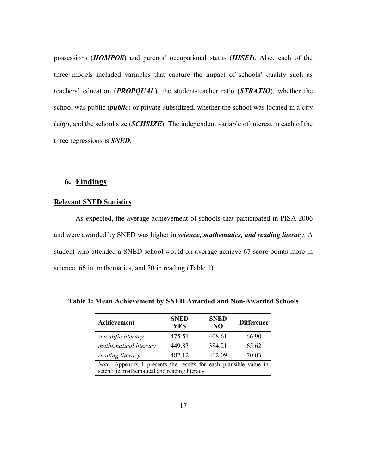possessions (*HOMPOS*) and parents' occupational status (*HISEI*). Also, each of the three models included variables that capture the impact of schools' quality such as teachers' education (*PROPQUAL*), the student-teacher ratio (*STRATIO*), whether the school was public (*public*) or private-subsidized, whether the school was located in a city (*city*), and the school size (*SCHSIZE*). The independent variable of interest in each of the three regressions is *SNED.* 

#### **6. Findings**

#### **Relevant SNED Statistics**

As expected, the average achievement of schools that participated in PISA-2006 and were awarded by SNED was higher in *science, mathematics, and reading literacy*. A student who attended a SNED school would on average achieve 67 score points more in science, 66 in mathematics, and 70 in reading (Table 1).

| Achievement                                                       | <b>SNED</b><br><b>YES</b> | <b>SNED</b><br>NO | <b>Difference</b> |
|-------------------------------------------------------------------|---------------------------|-------------------|-------------------|
| scientific literacy                                               | 475.51                    | 408.61            | 66.90             |
| mathematical literacy                                             | 449.83                    | 384 21            | 65.62             |
| reading literacy                                                  | 482.12                    | 412.09            | 70.03             |
| Note: Appendix 1 presents the results for each plausible value in |                           |                   |                   |
| scientific, mathematical and reading literacy                     |                           |                   |                   |

**Table 1: Mean Achievement by SNED Awarded and Non-Awarded Schools**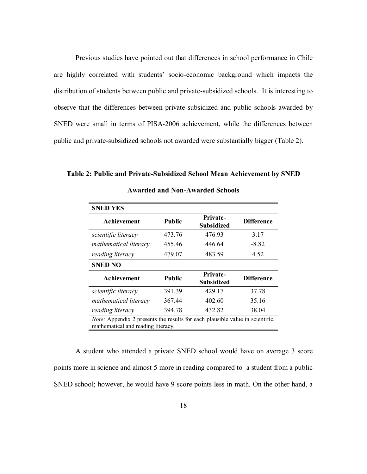Previous studies have pointed out that differences in school performance in Chile are highly correlated with students' socio-economic background which impacts the distribution of students between public and private-subsidized schools. It is interesting to observe that the differences between private-subsidized and public schools awarded by SNED were small in terms of PISA-2006 achievement, while the differences between public and private-subsidized schools not awarded were substantially bigger (Table 2).

**Table 2: Public and Private-Subsidized School Mean Achievement by SNED** 

| <b>SNED YES</b>                                                                                                            |               |                                      |                   |  |
|----------------------------------------------------------------------------------------------------------------------------|---------------|--------------------------------------|-------------------|--|
| Achievement                                                                                                                | <b>Public</b> | <b>Private-</b><br><b>Subsidized</b> | <b>Difference</b> |  |
| scientific literacy                                                                                                        | 473.76        | 476.93                               | 3.17              |  |
| mathematical literacy                                                                                                      | 455.46        | 446.64                               | $-8.82$           |  |
| reading literacy                                                                                                           | 479.07        | 483.59                               | 4.52              |  |
| <b>SNED NO</b>                                                                                                             |               |                                      |                   |  |
| Achievement                                                                                                                | <b>Public</b> | <b>Private-</b><br><b>Subsidized</b> | <b>Difference</b> |  |
| scientific literacy                                                                                                        | 391.39        | 429.17                               | 37.78             |  |
| mathematical literacy                                                                                                      | 367.44        | 402.60                               | 35.16             |  |
| reading literacy                                                                                                           | 394.78        | 432.82                               | 38.04             |  |
| <i>Note:</i> Appendix 2 presents the results for each plausible value in scientific,<br>mathematical and reading literacy. |               |                                      |                   |  |

**Awarded and Non-Awarded Schools** 

A student who attended a private SNED school would have on average 3 score points more in science and almost 5 more in reading compared to a student from a public SNED school; however, he would have 9 score points less in math. On the other hand, a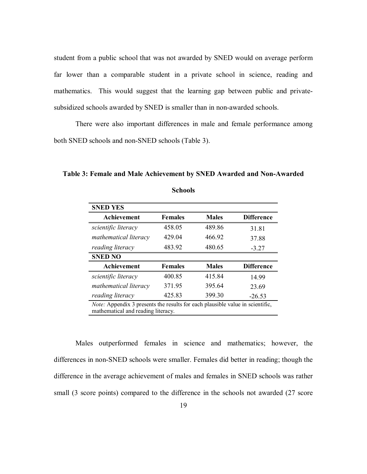student from a public school that was not awarded by SNED would on average perform far lower than a comparable student in a private school in science, reading and mathematics. This would suggest that the learning gap between public and privatesubsidized schools awarded by SNED is smaller than in non-awarded schools.

There were also important differences in male and female performance among both SNED schools and non-SNED schools (Table 3).

**Table 3: Female and Male Achievement by SNED Awarded and Non-Awarded** 

**Schools**

| <b>Females</b> | <b>Males</b> | <b>Difference</b> |
|----------------|--------------|-------------------|
| 458.05         | 489.86       | 31.81             |
| 429.04         | 466.92       | 37.88             |
| 483.92         | 480.65       | $-3.27$           |
|                |              |                   |
| <b>Females</b> | <b>Males</b> | <b>Difference</b> |
| 400.85         | 415.84       | 14.99             |
| 371.95         | 395.64       | 23.69             |
| 425.83         | 399.30       | $-26.53$          |
|                |              |                   |

mathematical and reading literacy.

Males outperformed females in science and mathematics; however, the differences in non-SNED schools were smaller. Females did better in reading; though the difference in the average achievement of males and females in SNED schools was rather small (3 score points) compared to the difference in the schools not awarded (27 score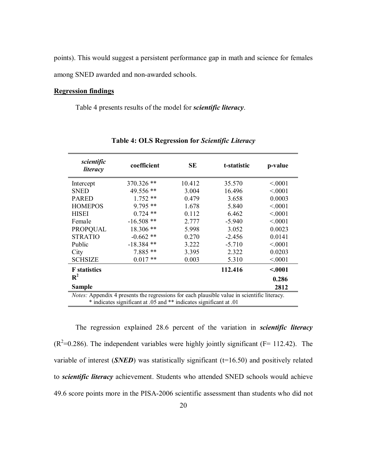points). This would suggest a persistent performance gap in math and science for females among SNED awarded and non-awarded schools.

#### **Regression findings**

Table 4 presents results of the model for *scientific literacy*.

| scientific<br>literacy                                                                      | coefficient  | SE     | t-statistic | p-value |  |
|---------------------------------------------------------------------------------------------|--------------|--------|-------------|---------|--|
| Intercept                                                                                   | $370.326$ ** | 10.412 | 35.570      | < 0001  |  |
| <b>SNED</b>                                                                                 | 49.556 **    | 3.004  | 16.496      | < 0.001 |  |
| <b>PARED</b>                                                                                | $1.752**$    | 0.479  | 3.658       | 0.0003  |  |
| <b>HOMEPOS</b>                                                                              | $9.795**$    | 1.678  | 5.840       | < 0001  |  |
| <b>HISEI</b>                                                                                | $0.724$ **   | 0.112  | 6.462       | < 0001  |  |
| Female                                                                                      | $-16.508**$  | 2.777  | $-5.940$    | < 0001  |  |
| <b>PROPQUAL</b>                                                                             | $18.306**$   | 5.998  | 3.052       | 0.0023  |  |
| <b>STRATIO</b>                                                                              | $-0.662**$   | 0.270  | $-2.456$    | 0.0141  |  |
| Public                                                                                      | $-18.384$ ** | 3.222  | $-5.710$    | < 0.001 |  |
| City                                                                                        | $7.885**$    | 3.395  | 2.322       | 0.0203  |  |
| <b>SCHSIZE</b>                                                                              | $0.017**$    | 0.003  | 5.310       | < 0001  |  |
| <b>F</b> statistics                                                                         |              |        | 112.416     | < .0001 |  |
| $\mathbf{R}^2$                                                                              |              |        |             | 0.286   |  |
| <b>Sample</b><br>2812                                                                       |              |        |             |         |  |
| Notes: Appendix 4 presents the regressions for each plausible value in scientific literacy. |              |        |             |         |  |
| * indicates significant at .05 and ** indicates significant at .01                          |              |        |             |         |  |

**Table 4: OLS Regression for** *Scientific Literacy*

The regression explained 28.6 percent of the variation in *scientific literacy*  $(R^2=0.286)$ . The independent variables were highly jointly significant (F= 112.42). The variable of interest  $(SNED)$  was statistically significant  $(t=16.50)$  and positively related to *scientific literacy* achievement. Students who attended SNED schools would achieve 49.6 score points more in the PISA-2006 scientific assessment than students who did not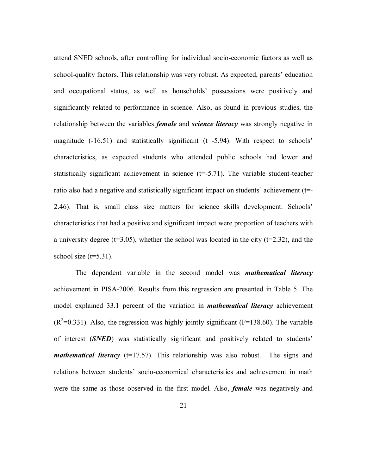attend SNED schools, after controlling for individual socio-economic factors as well as school-quality factors. This relationship was very robust. As expected, parents' education and occupational status, as well as households' possessions were positively and significantly related to performance in science. Also, as found in previous studies, the relationship between the variables *female* and *science literacy* was strongly negative in magnitude  $(-16.51)$  and statistically significant  $(t=5.94)$ . With respect to schools<sup>7</sup> characteristics, as expected students who attended public schools had lower and statistically significant achievement in science  $(t=5.71)$ . The variable student-teacher ratio also had a negative and statistically significant impact on students' achievement ( $t=$ 2.46). That is, small class size matters for science skills development. Schools' characteristics that had a positive and significant impact were proportion of teachers with a university degree ( $t=3.05$ ), whether the school was located in the city ( $t=2.32$ ), and the school size  $(t=5.31)$ .

The dependent variable in the second model was *mathematical literacy* achievement in PISA-2006. Results from this regression are presented in Table 5. The model explained 33.1 percent of the variation in *mathematical literacy* achievement  $(R^2=0.331)$ . Also, the regression was highly jointly significant (F=138.60). The variable of interest (*SNED*) was statistically significant and positively related to students<sup>7</sup> *mathematical literacy* (t=17.57). This relationship was also robust. The signs and relations between students' socio-economical characteristics and achievement in math were the same as those observed in the first model. Also, *female* was negatively and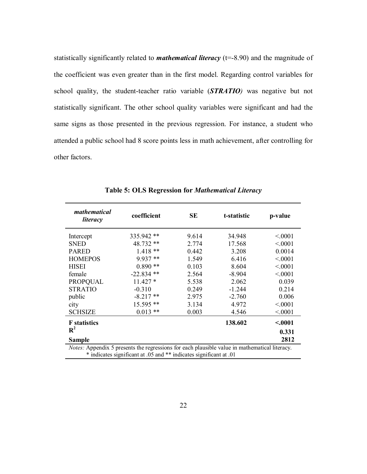statistically significantly related to *mathematical literacy* (t=-8.90) and the magnitude of the coefficient was even greater than in the first model. Regarding control variables for school quality, the student-teacher ratio variable (*STRATIO)* was negative but not statistically significant. The other school quality variables were significant and had the same signs as those presented in the previous regression. For instance, a student who attended a public school had 8 score points less in math achievement, after controlling for other factors.

| mathematical<br>literacy                                                                      | coefficient  | SE    | t-statistic | p-value |  |
|-----------------------------------------------------------------------------------------------|--------------|-------|-------------|---------|--|
| Intercept                                                                                     | 335.942 **   | 9.614 | 34.948      | < 0001  |  |
| <b>SNED</b>                                                                                   | 48.732 **    | 2.774 | 17.568      | < 0.001 |  |
| <b>PARED</b>                                                                                  | $1.418**$    | 0.442 | 3.208       | 0.0014  |  |
| <b>HOMEPOS</b>                                                                                | $9.937**$    | 1.549 | 6.416       | < 0001  |  |
| <b>HISEI</b>                                                                                  | $0.890**$    | 0.103 | 8.604       | < 0.001 |  |
| female                                                                                        | $-22.834$ ** | 2.564 | $-8.904$    | < 0001  |  |
| <b>PROPQUAL</b>                                                                               | $11.427*$    | 5.538 | 2.062       | 0.039   |  |
| <b>STRATIO</b>                                                                                | $-0.310$     | 0.249 | $-1.244$    | 0.214   |  |
| public                                                                                        | $-8.217**$   | 2.975 | $-2.760$    | 0.006   |  |
| city                                                                                          | 15.595 **    | 3.134 | 4.972       | < 0001  |  |
| <b>SCHSIZE</b>                                                                                | $0.013$ **   | 0.003 | 4.546       | < 0001  |  |
| <b>F</b> statistics                                                                           |              |       | 138.602     | < .0001 |  |
| $\mathbf{R}^2$                                                                                |              |       |             | 0.331   |  |
| <b>Sample</b>                                                                                 |              |       |             | 2812    |  |
| Notes: Appendix 5 presents the regressions for each plausible value in mathematical literacy. |              |       |             |         |  |

**Table 5: OLS Regression for** *Mathematical Literacy*

\* indicates significant at .05 and \*\* indicates significant at .01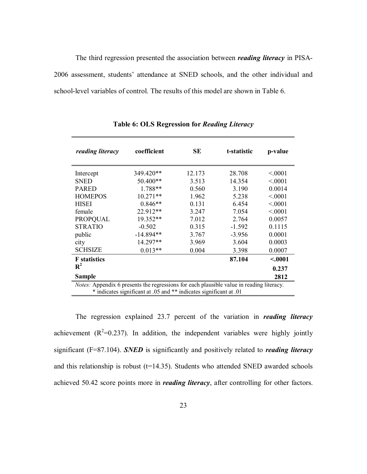The third regression presented the association between *reading literacy* in PISA-2006 assessment, students' attendance at SNED schools, and the other individual and school-level variables of control. The results of this model are shown in Table 6.

| reading literacy                                                                         | coefficient | SЕ     | t-statistic | p-value |
|------------------------------------------------------------------------------------------|-------------|--------|-------------|---------|
| Intercept                                                                                | 349.420**   | 12.173 | 28.708      | < 0001  |
| <b>SNED</b>                                                                              | 50.400**    | 3.513  | 14.354      | < 0001  |
| <b>PARED</b>                                                                             | 1.788**     | 0.560  | 3.190       | 0.0014  |
| <b>HOMEPOS</b>                                                                           | $10.271**$  | 1.962  | 5.238       | < 0001  |
| <b>HISEI</b>                                                                             | $0.846**$   | 0.131  | 6.454       | < 0001  |
| female                                                                                   | 22.912**    | 3.247  | 7.054       | < 0001  |
| <b>PROPQUAL</b>                                                                          | $19.352**$  | 7.012  | 2.764       | 0.0057  |
| <b>STRATIO</b>                                                                           | $-0.502$    | 0.315  | $-1.592$    | 0.1115  |
| public                                                                                   | $-14.894**$ | 3.767  | $-3.956$    | 0.0001  |
| city                                                                                     | 14.297**    | 3.969  | 3.604       | 0.0003  |
| <b>SCHSIZE</b>                                                                           | $0.013**$   | 0.004  | 3.398       | 0.0007  |
| <b>F</b> statistics                                                                      |             |        | 87.104      | < .0001 |
| $R^2$                                                                                    |             |        |             | 0.237   |
| <b>Sample</b>                                                                            |             |        |             | 2812    |
| Notes: Appendix 6 presents the regressions for each plausible value in reading literacy. |             |        |             |         |
| * indicates significant at .05 and ** indicates significant at .01                       |             |        |             |         |

**Table 6: OLS Regression for** *Reading Literacy*

The regression explained 23.7 percent of the variation in *reading literacy* achievement  $(R^2=0.237)$ . In addition, the independent variables were highly jointly significant (F=87.104). *SNED* is significantly and positively related to *reading literacy* and this relationship is robust  $(t=14.35)$ . Students who attended SNED awarded schools achieved 50.42 score points more in *reading literacy*, after controlling for other factors.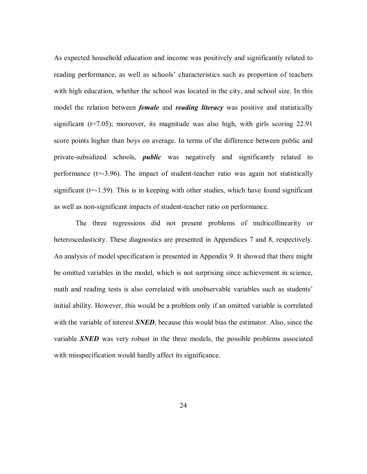As expected household education and income was positively and significantly related to reading performance, as well as schools' characteristics such as proportion of teachers with high education, whether the school was located in the city, and school size. In this model the relation between *female* and *reading literacy* was positive and statistically significant ( $t=7.05$ ); moreover, its magnitude was also high, with girls scoring 22.91 score points higher than boys on average. In terms of the difference between public and private-subsidized schools, *public* was negatively and significantly related to performance (t=-3.96). The impact of student-teacher ratio was again not statistically significant ( $t=-1.59$ ). This is in keeping with other studies, which have found significant as well as non-significant impacts of student-teacher ratio on performance.

 The three regressions did not present problems of multicollinearity or heteroscedasticity. These diagnostics are presented in Appendices 7 and 8, respectively. An analysis of model specification is presented in Appendix 9. It showed that there might be omitted variables in the model, which is not surprising since achievement in science, math and reading tests is also correlated with unobservable variables such as students' initial ability. However, this would be a problem only if an omitted variable is correlated with the variable of interest **SNED**, because this would bias the estimator. Also, since the variable *SNED* was very robust in the three models, the possible problems associated with misspecification would hardly affect its significance.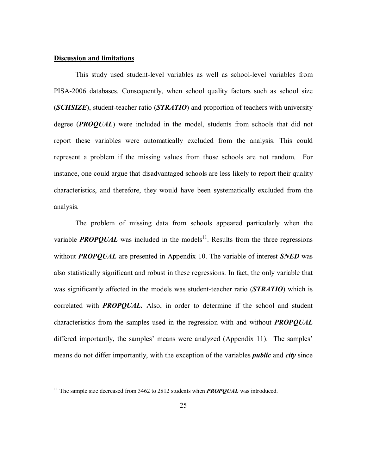#### **Discussion and limitations**

 $\overline{a}$ 

 This study used student-level variables as well as school-level variables from PISA-2006 databases. Consequently, when school quality factors such as school size (*SCHSIZE*), student-teacher ratio (*STRATIO*) and proportion of teachers with university degree (*PROQUAL*) were included in the model, students from schools that did not report these variables were automatically excluded from the analysis. This could represent a problem if the missing values from those schools are not random. For instance, one could argue that disadvantaged schools are less likely to report their quality characteristics, and therefore, they would have been systematically excluded from the analysis.

The problem of missing data from schools appeared particularly when the variable **PROPQUAL** was included in the models<sup>11</sup>. Results from the three regressions without *PROPQUAL* are presented in Appendix 10. The variable of interest *SNED* was also statistically significant and robust in these regressions. In fact, the only variable that was significantly affected in the models was student-teacher ratio (*STRATIO*) which is correlated with *PROPQUAL.* Also, in order to determine if the school and student characteristics from the samples used in the regression with and without *PROPQUAL*  differed importantly, the samples' means were analyzed (Appendix 11). The samples' means do not differ importantly, with the exception of the variables *public* and *city* since

<sup>&</sup>lt;sup>11</sup> The sample size decreased from 3462 to 2812 students when **PROPQUAL** was introduced.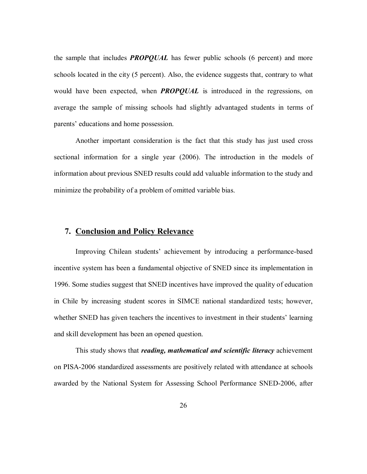the sample that includes *PROPQUAL* has fewer public schools (6 percent) and more schools located in the city (5 percent). Also, the evidence suggests that, contrary to what would have been expected, when *PROPQUAL* is introduced in the regressions, on average the sample of missing schools had slightly advantaged students in terms of parents' educations and home possession.

Another important consideration is the fact that this study has just used cross sectional information for a single year (2006). The introduction in the models of information about previous SNED results could add valuable information to the study and minimize the probability of a problem of omitted variable bias.

#### **7. Conclusion and Policy Relevance**

Improving Chilean students' achievement by introducing a performance-based incentive system has been a fundamental objective of SNED since its implementation in 1996. Some studies suggest that SNED incentives have improved the quality of education in Chile by increasing student scores in SIMCE national standardized tests; however, whether SNED has given teachers the incentives to investment in their students' learning and skill development has been an opened question.

This study shows that *reading, mathematical and scientific literacy* achievement on PISA-2006 standardized assessments are positively related with attendance at schools awarded by the National System for Assessing School Performance SNED-2006, after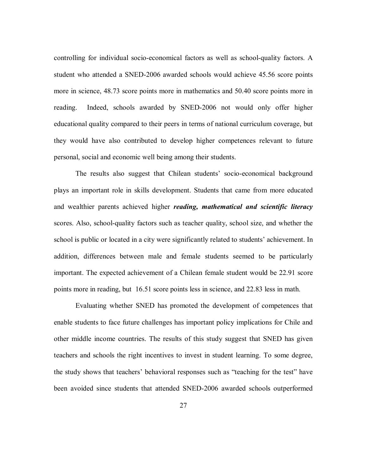controlling for individual socio-economical factors as well as school-quality factors. A student who attended a SNED-2006 awarded schools would achieve 45.56 score points more in science, 48.73 score points more in mathematics and 50.40 score points more in reading. Indeed, schools awarded by SNED-2006 not would only offer higher educational quality compared to their peers in terms of national curriculum coverage, but they would have also contributed to develop higher competences relevant to future personal, social and economic well being among their students.

The results also suggest that Chilean students' socio-economical background plays an important role in skills development. Students that came from more educated and wealthier parents achieved higher *reading, mathematical and scientific literacy*  scores. Also, school-quality factors such as teacher quality, school size, and whether the school is public or located in a city were significantly related to students' achievement. In addition, differences between male and female students seemed to be particularly important. The expected achievement of a Chilean female student would be 22.91 score points more in reading, but 16.51 score points less in science, and 22.83 less in math.

Evaluating whether SNED has promoted the development of competences that enable students to face future challenges has important policy implications for Chile and other middle income countries. The results of this study suggest that SNED has given teachers and schools the right incentives to invest in student learning. To some degree, the study shows that teachers' behavioral responses such as "teaching for the test" have been avoided since students that attended SNED-2006 awarded schools outperformed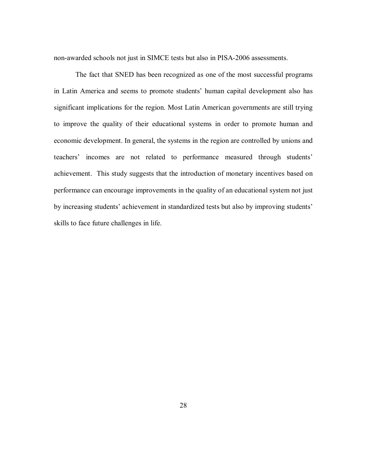non-awarded schools not just in SIMCE tests but also in PISA-2006 assessments.

The fact that SNED has been recognized as one of the most successful programs in Latin America and seems to promote students' human capital development also has significant implications for the region. Most Latin American governments are still trying to improve the quality of their educational systems in order to promote human and economic development. In general, the systems in the region are controlled by unions and teachers' incomes are not related to performance measured through students' achievement. This study suggests that the introduction of monetary incentives based on performance can encourage improvements in the quality of an educational system not just by increasing students' achievement in standardized tests but also by improving students' skills to face future challenges in life.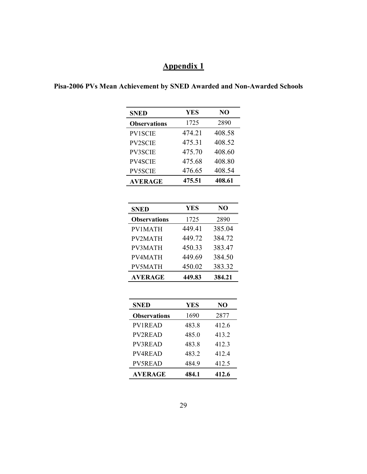#### **Pisa-2006 PVs Mean Achievement by SNED Awarded and Non-Awarded Schools**

| <b>SNED</b>         | YES    | NO     |
|---------------------|--------|--------|
| <b>Observations</b> | 1725   | 2890   |
| <b>PV1SCIE</b>      | 474.21 | 408.58 |
| <b>PV2SCIE</b>      | 475.31 | 408.52 |
| <b>PV3SCIE</b>      | 475.70 | 408.60 |
| <b>PV4SCIE</b>      | 475.68 | 408.80 |
| <b>PV5SCIE</b>      | 476.65 | 408.54 |
| <b>AVERAGE</b>      | 475.51 | 408.61 |

| SNED                | YES    | NO     |
|---------------------|--------|--------|
| <b>Observations</b> | 1725   | 2890   |
| PV1MATH             | 449.41 | 385.04 |
| PV2MATH             | 449.72 | 384.72 |
| PV3MATH             | 450.33 | 383.47 |
| PV4MATH             | 449.69 | 384.50 |
| PV5MATH             | 450.02 | 383.32 |
| <b>AVERAGE</b>      | 449.83 | 384.21 |

| YES   | NO    |
|-------|-------|
| 1690  | 2877  |
| 483.8 | 412.6 |
| 485.0 | 413.2 |
| 483.8 | 4123  |
| 4832  | 4124  |
| 484.9 | 412.5 |
| 484.1 | 412.6 |
|       |       |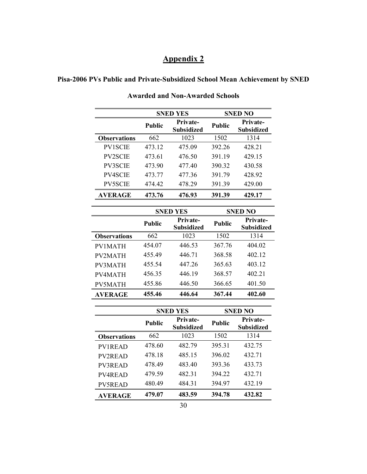### **Pisa-2006 PVs Public and Private-Subsidized School Mean Achievement by SNED**

|                     |               | <b>SNED YES</b>                      |               | <b>SNED NO</b>                       |
|---------------------|---------------|--------------------------------------|---------------|--------------------------------------|
|                     | <b>Public</b> | <b>Private-</b><br><b>Subsidized</b> | <b>Public</b> | <b>Private-</b><br><b>Subsidized</b> |
| <b>Observations</b> | 662           | 1023                                 | 1502          | 1314                                 |
| <b>PV1SCIE</b>      | 473.12        | 475.09                               | 392.26        | 428.21                               |
| <b>PV2SCIE</b>      | 473.61        | 476.50                               | 391.19        | 429.15                               |
| <b>PV3SCIE</b>      | 473.90        | 477.40                               | 390.32        | 430.58                               |
| <b>PV4SCIE</b>      | 473.77        | 477.36                               | 391.79        | 428.92                               |
| <b>PV5SCIE</b>      | 474.42        | 478.29                               | 391.39        | 429.00                               |
| <b>AVERAGE</b>      | 473.76        | 476.93                               | 391.39        | 429.17                               |

**Awarded and Non-Awarded Schools** 

|                     |               | <b>SNED YES</b>                      |               | <b>SNED NO</b>                |
|---------------------|---------------|--------------------------------------|---------------|-------------------------------|
|                     | <b>Public</b> | <b>Private-</b><br><b>Subsidized</b> | <b>Public</b> | Private-<br><b>Subsidized</b> |
| <b>Observations</b> | 662           | 1023                                 | 1502          | 1314                          |
| PV1MATH             | 454.07        | 446.53                               | 367.76        | 404.02                        |
| PV2MATH             | 455.49        | 446.71                               | 368.58        | 402 12                        |
| PV3MATH             | 455.54        | 447 26                               | 365.63        | 403.12                        |
| PV4MATH             | 456.35        | 446 19                               | 368.57        | 402 21                        |
| PV5MATH             | 455.86        | 446.50                               | 366.65        | 401.50                        |
| <b>AVERAGE</b>      | 455.46        | 446.64                               | 367.44        | 402.60                        |

|                     |               | <b>SNED YES</b>                      |               | <b>SNED NO</b>                       |
|---------------------|---------------|--------------------------------------|---------------|--------------------------------------|
|                     | <b>Public</b> | <b>Private-</b><br><b>Subsidized</b> | <b>Public</b> | <b>Private-</b><br><b>Subsidized</b> |
| <b>Observations</b> | 662           | 1023                                 | 1502          | 1314                                 |
| <b>PV1READ</b>      | 478.60        | 482 79                               | 395.31        | 432.75                               |
| <b>PV2READ</b>      | 478.18        | 485.15                               | 396.02        | 432.71                               |
| PV3READ             | 478.49        | 483.40                               | 393.36        | 433.73                               |
| PV4READ             | 479.59        | 482.31                               | 394.22        | 432.71                               |
| PV5READ             | 480.49        | 484.31                               | 394.97        | 432.19                               |
| <b>AVERAGE</b>      | 479.07        | 483.59                               | 394.78        | 432.82                               |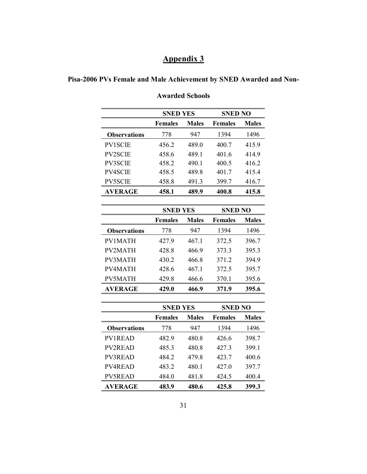| Pisa-2006 PVs Female and Male Achievement by SNED Awarded and Non- |  |
|--------------------------------------------------------------------|--|
|                                                                    |  |

|                     | <b>SNED YES</b> |              | <b>SNED NO</b> |              |
|---------------------|-----------------|--------------|----------------|--------------|
|                     | <b>Females</b>  | <b>Males</b> | <b>Females</b> | <b>Males</b> |
| <b>Observations</b> | 778             | 947          | 1394           | 1496         |
| <b>PV1SCIE</b>      | 456.2           | 489.0        | 400.7          | 415.9        |
| <b>PV2SCIE</b>      | 458.6           | 489.1        | 401.6          | 414.9        |
| <b>PV3SCIE</b>      | 458.2           | 490.1        | 400.5          | 416.2        |
| <b>PV4SCIE</b>      | 458.5           | 489.8        | 401.7          | 4154         |
| <b>PV5SCIE</b>      | 458.8           | 491.3        | 399.7          | 416.7        |
| AVERAGE             | 458.1           | 489.9        | 400.8          | 415.8        |

#### **Awarded Schools**

|                     | <b>SNED YES</b> |              | <b>SNED NO</b> |              |
|---------------------|-----------------|--------------|----------------|--------------|
|                     | <b>Females</b>  | <b>Males</b> | <b>Females</b> | <b>Males</b> |
| <b>Observations</b> | 778             | 947          | 1394           | 1496         |
| <b>PV1MATH</b>      | 427.9           | 467.1        | 372.5          | 396.7        |
| <b>PV2MATH</b>      | 428.8           | 466.9        | 373.3          | 395.3        |
| PV3MATH             | 430.2           | 466.8        | 371.2          | 394.9        |
| PV4MATH             | 428.6           | 467.1        | 372.5          | 395.7        |
| PV5MATH             | 429.8           | 466.6        | 370.1          | 395.6        |
| <b>AVERAGE</b>      | 429.0           | 466.9        | 371.9          | 395.6        |

|                     | <b>SNED YES</b> |              | <b>SNED NO</b> |              |
|---------------------|-----------------|--------------|----------------|--------------|
|                     | <b>Females</b>  | <b>Males</b> | <b>Females</b> | <b>Males</b> |
| <b>Observations</b> | 778             | 947          | 1394           | 1496         |
| <b>PV1READ</b>      | 482.9           | 480.8        | 426.6          | 398.7        |
| <b>PV2READ</b>      | 485.3           | 480.8        | 427.3          | 399.1        |
| PV3READ             | 484.2           | 479.8        | 423.7          | 400.6        |
| <b>PV4READ</b>      | 483.2           | 480.1        | 427.0          | 397.7        |
| PV5READ             | 484.0           | 481.8        | 424.5          | 400.4        |
| <b>AVERAGE</b>      | 483.9           | 480.6        | 425.8          | 399.3        |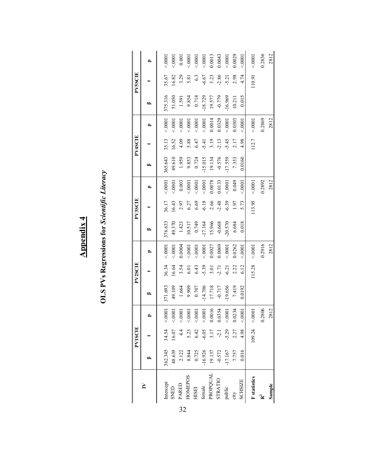OLS PVs Regressions for Scientific Literacy **OLS PVs Regressions for** *Scientific Literacy*

|                     |                  | <b>PV1SCIE</b> |                   |           | <b>PV2SCIE</b>              |        |                   | <b>PV3SCIE</b>   |        |          | PV4SCIE |        |           | <b>PV5SCIE</b>   |                         |
|---------------------|------------------|----------------|-------------------|-----------|-----------------------------|--------|-------------------|------------------|--------|----------|---------|--------|-----------|------------------|-------------------------|
|                     |                  |                |                   | ≏         |                             | ≏      | ≏                 |                  | ≏      | ≏        |         |        | ≏         |                  | ≏                       |
| Intercept           | 362.345          | 34.54          | 0001              | 371.693   | 36.34                       | 00000  | 376.633           | 36.17            | 0001   | 365.643  | 35.13   | 0001   | 375.316   | 35.67            | 50001                   |
| SNED                | 48.639           | 16.07          | < 0001            | 49.109    | 16.64                       | 50001  | 49.370            | 16.43            | 00001  | 49.610   | 16.52   | 00005  | 51.050    | 16.82            | 50001                   |
| PARED               |                  | 4.4            | 0001              | 1.664     | 3.54                        | 0.0004 |                   | 2.97             | 0.003  | 1.959    | 4.09    | 0001   | 1.591     | 3.29             | 0.001                   |
| HOMEPOS             | $2.122$<br>8.844 | 5.23           | 0001              | 9.909     | 6.01                        | 50001  | $1.423$<br>10.517 | $6.27$<br>$6.69$ | 50001  | 9.853    | 5.88    | 00005  | 9.854     | 5.81             | 50001                   |
| HISEI               | 0.725            | 6.42           | 0001              | $0.707$   |                             | 50001  | 0.749             |                  | 50001  | 0.724    | 6.47    | 00005  | 0.714     | $6.\overline{3}$ |                         |
| female              |                  | $-6.05$        | < .0001           | 14.706    | $6.43$<br>$-5.39$<br>$3.01$ | 0001   | 17.164            | $-6.18$          | 50001  | 15.015   | $-5.41$ | 00005  | $-18.729$ | $-6.67$          |                         |
| PROPQUAL            | 16.926<br>19.137 | 3.17           | 0.0016            | 17.718    |                             | 0.0027 | 15.966            | 2.66             | 0.0078 | 19.134   | 3.19    | 0.0014 | 19.577    | 3.23             | $\frac{0.0001}{0.0013}$ |
| <b>STRATIO</b>      | $-0.572$         | $-2.1$         | 0.0354            | $-0.717$  | $-2.71$                     | 0.0069 | $-0.668$          | $-2.48$          | 0.0133 | $-0.576$ | $-2.13$ | 0.0329 | $-0.779$  | $-2.86$          | 0.0043                  |
| public              | .17.167          | 5.29           | 0000              | $-19.656$ | $-6.21$                     | 0001   | $-20.570$         | $-6.39$          | 0001   | 17.559   | $-5.45$ | 00005  | 16.969    | $-5.21$          | 50001                   |
| city                | 7.757            | 2.27           | 0.0234            | 7.419     | 2.22                        | 0.0262 | 6.684             | 1.97             | 0.049  | 7.353    | 2.17    | 0.0303 | 10.211    | 2.98             | 0.0029                  |
| <b>SCHSIZE</b>      | 0.016            | 4.98           | 0001              | 0.0192    | 6.12                        | 0001   | 0.018             | 5.73             | 0001   | 0.0160   | 4.98    | 0001   | 0.015     | 4.74             | 00001                   |
| <b>F</b> statistics |                  |                | $109.24 \le 0001$ |           | 115.28                      | 00001  |                   | 113.95           | 0001   |          | 112.7   | 00000  |           | 110.91           | 00001                   |
|                     |                  |                | 0.2806            |           |                             | 0.2916 |                   |                  | 0.2892 |          |         | 0.2869 |           |                  | 0.2836                  |
| Sample              |                  |                | 2812              |           |                             | 2812   |                   |                  | 2812   |          |         | 2812   |           |                  | 2812                    |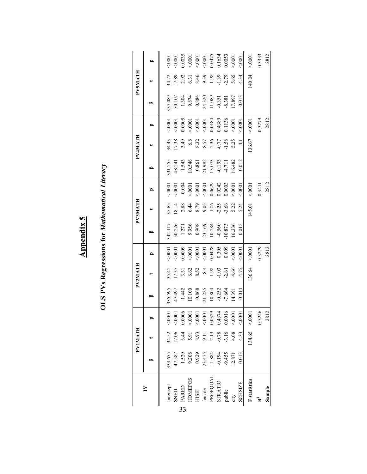| ı<br>1 |  |
|--------|--|
|        |  |
|        |  |

# **OLS PVs Regressions for Mathematical Literacy OLS PVs Regressions for** *Mathematical Literacy*

|    |                |                  | <b>PVIMATH</b>    |                                                                      |                                   | <b>PV2MATH</b>                 |        |                                                                    | <b>PV3MATH</b>                                                                                                                                |                         |                                                                | <b>PV4MATH</b>                                  |                                                                                            |                                                                                                | PV5MATH                                                                                       |                                                                                                                                                                                                          |
|----|----------------|------------------|-------------------|----------------------------------------------------------------------|-----------------------------------|--------------------------------|--------|--------------------------------------------------------------------|-----------------------------------------------------------------------------------------------------------------------------------------------|-------------------------|----------------------------------------------------------------|-------------------------------------------------|--------------------------------------------------------------------------------------------|------------------------------------------------------------------------------------------------|-----------------------------------------------------------------------------------------------|----------------------------------------------------------------------------------------------------------------------------------------------------------------------------------------------------------|
|    |                |                  |                   |                                                                      | ≏                                 |                                |        | ≏                                                                  |                                                                                                                                               |                         | ≏                                                              |                                                 |                                                                                            |                                                                                                |                                                                                               |                                                                                                                                                                                                          |
|    | Intercept      | 333.655          | 34.52             | $1000 -$                                                             | 335.595                           |                                | 0001   | 342.117                                                            |                                                                                                                                               | 0001                    | 331.255                                                        |                                                 | 50001                                                                                      | 337.087                                                                                        |                                                                                               | 50001                                                                                                                                                                                                    |
|    | <b>GHNS</b>    | 47.587           | 17.06             | 50001                                                                | 47.497                            | 35.42<br>17.37                 | 50001  | 50.226                                                             | 35.65<br>18.14                                                                                                                                | 50001                   |                                                                | 34.43<br>17.38                                  | 10001                                                                                      | 50.107                                                                                         | 34.72<br>17.89                                                                                | 50001                                                                                                                                                                                                    |
| 33 | <b>PARED</b>   | 1.529            | 3.44              | 0.0006                                                               |                                   |                                | 0.0009 |                                                                    |                                                                                                                                               | 0.004                   | 48.241<br>1.543<br>10.546<br>10.546<br>0.82<br>0.193<br>13.073 | 3.49                                            |                                                                                            |                                                                                                |                                                                                               |                                                                                                                                                                                                          |
|    | HOMEPOS        | 9.208            | 5.91              | 0001                                                                 | 1.442<br>10.100<br>0.868<br>0.868 | $3.31\n6.62\n8.54\n-8.4\n1.98$ | 0001   | $1.271$<br>$9.956$<br>$0.908$<br>$-23.169$<br>$10.284$<br>$-0.560$ | $\begin{array}{cccc}\n & 88 & 4 & 8 & 5 & 6 & 6 & 6 & 6 \\  & 6 & 4 & 5 & 6 & 6 & 6 & 6 & 6 \\  & 6 & 8 & 9 & 1 & 7 & 9 & 6 & 6\n\end{array}$ | 0001                    |                                                                | 6.8                                             | $\begin{array}{l} 0.0005 \\ <\ 0001 \\ <\ 0001 \\ <\ 0001 \\ 0.0184 \\ 0.0184 \end{array}$ | $\begin{array}{r} 1.304 \\ 9.874 \\ 0.884 \\ 0.884 \\ 1.089 \\ 11.089 \\ 0.351 \\ \end{array}$ | $\begin{array}{c} 2.92 \\ 6.31 \\ 6.46 \\ 8.49 \\ -1.39 \\ 1.39 \\ -1.79 \\ 0.65 \end{array}$ | $\begin{array}{l} 0.0035 \\ <\!\!\!\!\!0.001 \\ <\!\!\!\!\!0.001 \\ <\!\!\!\!\!0.001 \\ <\!\!\!\!\!0.001 \\ 0.0475 \\ 0.1634 \\ <\!\!\!\!\!0.0053 \\ <\!\!\!\!\!0.0033 \\ <\!\!\!\!\!0.0003 \end{array}$ |
|    | HISEI          | 0.929            | 8.93              |                                                                      |                                   |                                |        |                                                                    |                                                                                                                                               |                         |                                                                |                                                 |                                                                                            |                                                                                                |                                                                                               |                                                                                                                                                                                                          |
|    | female         | $-23.475$        | $-9.11$           | $0.0001$<br>$0.0329$<br>$0.0329$<br>$0.4374$<br>$0.0016$<br>$0.0016$ |                                   |                                | 0001   |                                                                    |                                                                                                                                               | $\frac{0.0001}{0.0629}$ |                                                                | $8.32$<br>$-8.57$<br>$2.36$<br>$0.77$<br>$0.77$ |                                                                                            |                                                                                                |                                                                                               |                                                                                                                                                                                                          |
|    | PROPQUAL       | 11.884<br>-0.194 | $2.13$<br>$-0.78$ |                                                                      |                                   |                                | 0.0478 |                                                                    |                                                                                                                                               |                         |                                                                |                                                 |                                                                                            |                                                                                                |                                                                                               |                                                                                                                                                                                                          |
|    | <b>STRATIO</b> |                  |                   |                                                                      | 10.804<br>-0.252                  | $-1.03$                        | 0.305  |                                                                    |                                                                                                                                               | 0.0242                  |                                                                |                                                 |                                                                                            |                                                                                                |                                                                                               |                                                                                                                                                                                                          |
|    | public         | $-9.455$         |                   |                                                                      | $-7.664$                          | $-2.61$<br>4.66                | 0.009  | 10.873                                                             |                                                                                                                                               | 0.0003                  |                                                                |                                                 | 0.1136                                                                                     |                                                                                                |                                                                                               |                                                                                                                                                                                                          |
|    | city           | 12.871           | $-3.16$<br>4.08   |                                                                      | 14.391                            |                                | 0001   | 16.336                                                             |                                                                                                                                               | 0001                    | 16.482                                                         | 5.25                                            | 50001                                                                                      | 17.897                                                                                         |                                                                                               |                                                                                                                                                                                                          |
|    | <b>SCHSIZE</b> | 0.013            | 4.33              | < 0001                                                               | 0.014                             | 4.72                           | 00001  | 0.015                                                              | 5.24                                                                                                                                          | 0001                    | 0.012                                                          | $\frac{1}{4}$                                   | 0001                                                                                       | 0.013                                                                                          | 4.34                                                                                          | 00001                                                                                                                                                                                                    |
|    | F statistics   |                  | 134.65            | < .0001                                                              |                                   | 136.64                         | 00001  |                                                                    | 145.01                                                                                                                                        | 00001                   |                                                                | 136.67                                          | 0000                                                                                       |                                                                                                | 140.04                                                                                        | 0001                                                                                                                                                                                                     |
|    |                |                  |                   | 0.3246                                                               |                                   |                                | 0.3279 |                                                                    |                                                                                                                                               | 0.3411                  |                                                                |                                                 | 0.3279                                                                                     |                                                                                                |                                                                                               | 0.3333                                                                                                                                                                                                   |
|    | Sample         |                  |                   | 2812                                                                 |                                   |                                | 2812   |                                                                    |                                                                                                                                               | 2812                    |                                                                |                                                 | 2812                                                                                       |                                                                                                |                                                                                               | 2812                                                                                                                                                                                                     |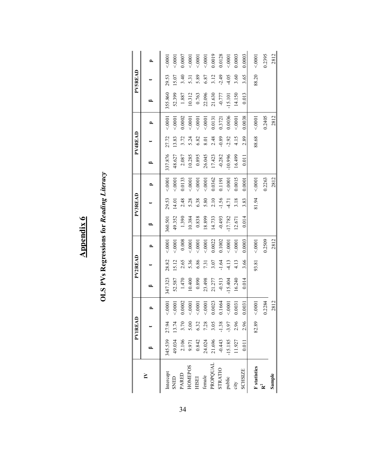# **Appendix 6 Appendix 6**

# **OLS PVs Regressions for Reading Literacy OLS PVs Regressions for** *Reading Literacy*

|                     |                                                                            | <b>PVIREA</b>                                            |         |           | <b>PV2READ</b> |        |           | PV3READ |        |           | PV4READ |        |           | PV5READ  |        |
|---------------------|----------------------------------------------------------------------------|----------------------------------------------------------|---------|-----------|----------------|--------|-----------|---------|--------|-----------|---------|--------|-----------|----------|--------|
|                     |                                                                            |                                                          | ≏       | ß         |                | ≏      | ≏         |         |        | ≏         |         |        | ≏         |          |        |
| Intercept           | 145.539                                                                    | 27.94                                                    | 0001    | 347.323   | 28.82          | 50001  | 360.501   | 29.53   | 50001  | 337.876   | 27.72   | 10001  | 355.860   | 29.53    | 00001  |
| SNED                |                                                                            | 13.74                                                    | < 0001  | 52.587    | 15.12          | 0001   | 49.352    | 14.01   | 0001   | 48.627    | 13.83   | 0001   | 52.399    | 15.07    | 50001  |
| PARED               | 49.034<br>2.106<br>2.9.971<br>9.842<br>0.8443<br>21.696<br>9.443<br>11.927 |                                                          | 0.0002  | 1.470     | 2.65           | 0.008  | 1.390     | 2.48    | 0.0133 | 2.087     | 3.72    | 0.0002 | 1.887     | 3.40     | 0.0007 |
| HOMEPOS             |                                                                            |                                                          | < 0001  | 10.400    | 5.36           | 0001   | 10.384    | 5.28    | 0001   | 10.285    | 5.24    | 00001  | 10.312    | 5.31     | 0001   |
| <b>HISEI</b>        |                                                                            |                                                          | 0001    | 0.890     | 6.86           | 0001   | 0.838     | 6.38    | 0001   | 0.895     | 6.82    | 50001  | 0.763     | 5.89     | 50001  |
| female              |                                                                            |                                                          | < 0001  | 23.498    | 7.31           | 0001   | 18.899    | 5.80    | 0001   | 26.045    | 8.01    | 0001   | 22.096    | $6.87\,$ | 0001   |
| PROPQUAL<br>STRATIO |                                                                            | $3.70$<br>$5.00$<br>$6.32$<br>$7.28$<br>$7.36$<br>$1.38$ | 0.0023  | 21.277    | 3.07           | 0.0022 | 14.733    | 2.10    | 0.0362 | 17.423    | 2.48    | 0.0131 | 21.630    | 3.12     | 0.0019 |
|                     |                                                                            |                                                          | 0.1664  | $-0.513$  | $-1.64$        | 0.1002 | $-0.493$  | $-1.56$ | 0.1191 | $-0.282$  | 0.89    | 0.3721 | $-0.777$  | 2.49     | 0.0128 |
| public              |                                                                            |                                                          | < .0001 | $-15.404$ | $-4.13$        | 0001   | $-17.782$ | $-4.71$ | 0001   | $-10.996$ | $-2.92$ | 0.0036 | $-15.101$ | 4.05     | 0001   |
| city                |                                                                            | 2.96                                                     | 0.0031  | 16.240    | 4.13           | 0001   | 12.671    | 3.18    | 0.0015 | 16.499    | 4.15    | 0001   | 14.150    | 3.60     | 0.0003 |
| <b>SCHSIZE</b>      | 0.011                                                                      | 2.96                                                     | 0.0031  | 0.014     | 3.66           | 0.0003 | 0.014     | 3.83    | 0.0001 | 0.011     | 2.89    | 0.0038 | 0.013     | 3.65     | 0.0003 |
| statistics          |                                                                            | 82.89                                                    | 0001    |           | 93.81          | 0001   |           | 81.94   | 0001   |           | 88.68   | 0001   |           | 88.20    | 00001  |
|                     |                                                                            |                                                          | 0.2284  |           |                | 0.2509 |           |         | 0.2263 |           |         | 0.2405 |           |          | 0.2395 |
| Sample              |                                                                            |                                                          | 2812    |           |                | 2812   |           |         | 2812   |           |         | 2812   |           |          | 2812   |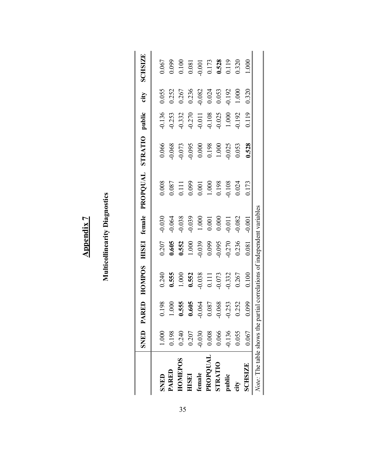|                           | SNED P.   | ARED     | <b>HOMPOS</b>          |                       |                                                        | HISEI female PROPQUAL                                                                               | STRATIO                                                | public             | city      | <b>SCHSIZE</b>                                                           |
|---------------------------|-----------|----------|------------------------|-----------------------|--------------------------------------------------------|-----------------------------------------------------------------------------------------------------|--------------------------------------------------------|--------------------|-----------|--------------------------------------------------------------------------|
| SNED                      | 1.000     | 0.198    | 0.240                  | 0.207                 | 0.030                                                  | 0.008                                                                                               | 0.066                                                  | 0.136              | 0.055     | 0.067                                                                    |
| PARED                     | 0.198     | 000      | 0.555                  | 0.605                 | 0.064                                                  |                                                                                                     |                                                        | 0.253              | 0.252     |                                                                          |
| <b>HOMEPOS</b>            | 0.240     | 0.555    | 1.000                  | 0.552                 | 0.038                                                  | $\begin{array}{c} 0.087 \\ 0.111 \\ 0.099 \\ 0.001 \\ 1.000 \\ 0.198 \\ 0.198 \\ 0.024 \end{array}$ | 0.068<br>0.073<br>0.095                                | 0.332              | 0.267     | $0.099$<br>$0.100$                                                       |
| <b>HISEI</b>              | 0.207     | 0.605    | 0.552                  | 1.000                 | $-0.039$                                               |                                                                                                     |                                                        | $-0.270$           | 0.236     | 0.081                                                                    |
| female                    | 0.030     | $-0.064$ | 0.038                  | 0.039                 |                                                        |                                                                                                     | $\begin{array}{c} 0.000 \\ 0.198 \\ 1.000 \end{array}$ |                    | $-0.082$  |                                                                          |
| PROPQUAL                  | $0.008\,$ | 0.087    | 0.111                  | 0.099                 | $\begin{array}{c} 1.000 \\ 0.001 \\ 0.000 \end{array}$ |                                                                                                     |                                                        | $0.011$<br>$0.108$ | 0.024     | $\begin{array}{c} 0.001 \\ 0.173 \\ \textbf{0.528} \\ 0.119 \end{array}$ |
| <b>STRATIO</b>            | 0.066     | $-0.068$ | 0.073                  | 0.095                 |                                                        |                                                                                                     |                                                        | 0.025              | 0.053     |                                                                          |
| public                    | 0.136     | $-0.253$ | $-0.332$               | 0.270                 | $-0.011$                                               |                                                                                                     | 0.025                                                  | $1.000\,$          | $-0.192$  |                                                                          |
| city                      | 0.055     | 0.252    | 0.267                  | 0.236                 | $-0.082$                                               |                                                                                                     | 0.053                                                  | 0.192              | $1.000\,$ | 0.320                                                                    |
| <b>SCHSIZE</b>            | 0.067     | 0.099    | 0.100                  | 0.081                 | 0.001                                                  | 0.173                                                                                               | 0.528                                                  | 0.119              | 0.320     | 000                                                                      |
| Note: The table shows the |           |          | artial correlations of | independent variables |                                                        |                                                                                                     |                                                        |                    |           |                                                                          |

**Multicollinearity Diagnostics** 

**Multicollinearity Diagnostics** 

**Appendix 7**

**Appendix 7**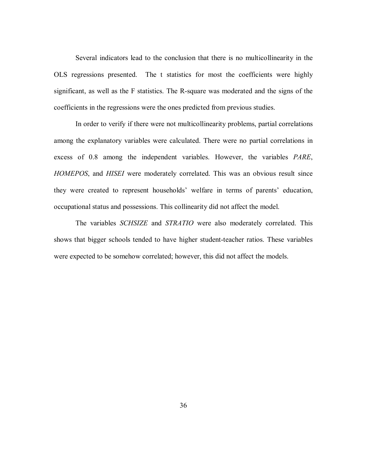Several indicators lead to the conclusion that there is no multicollinearity in the OLS regressions presented. The t statistics for most the coefficients were highly significant, as well as the F statistics. The R-square was moderated and the signs of the coefficients in the regressions were the ones predicted from previous studies.

In order to verify if there were not multicollinearity problems, partial correlations among the explanatory variables were calculated. There were no partial correlations in excess of 0.8 among the independent variables. However, the variables *PARE*, *HOMEPOS*, and *HISEI* were moderately correlated. This was an obvious result since they were created to represent households' welfare in terms of parents' education, occupational status and possessions. This collinearity did not affect the model.

The variables *SCHSIZE* and *STRATIO* were also moderately correlated. This shows that bigger schools tended to have higher student-teacher ratios. These variables were expected to be somehow correlated; however, this did not affect the models.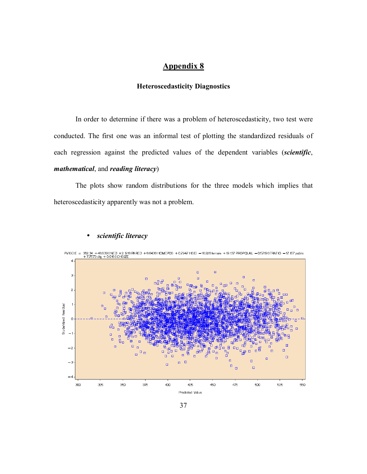#### **Heteroscedasticity Diagnostics**

 In order to determine if there was a problem of heteroscedasticity, two test were conducted. The first one was an informal test of plotting the standardized residuals of each regression against the predicted values of the dependent variables (*scientific*, *mathematical*, and *reading literacy*)

The plots show random distributions for the three models which implies that heteroscedasticity apparently was not a problem.



#### • *scientific literacy*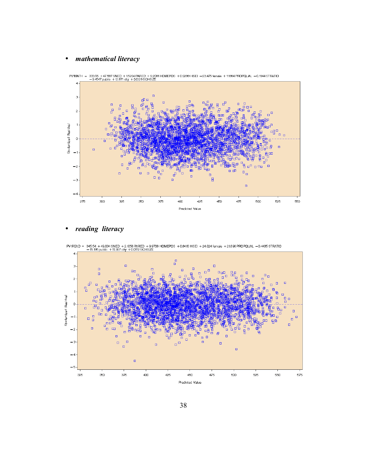#### • *mathematical literacy*



### • *reading literacy*



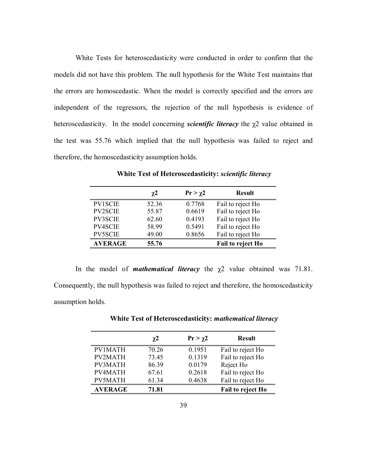White Tests for heteroscedasticity were conducted in order to confirm that the models did not have this problem. The null hypothesis for the White Test maintains that the errors are homoscedastic. When the model is correctly specified and the errors are independent of the regressors, the rejection of the null hypothesis is evidence of heteroscedasticity. In the model concerning *scientific literacy* the χ2 value obtained in the test was 55.76 which implied that the null hypothesis was failed to reject and therefore, the homoscedasticity assumption holds.

|                | $\chi$ <sup>2</sup> | $Pr > \chi$ 2 | <b>Result</b>     |
|----------------|---------------------|---------------|-------------------|
| <b>PV1SCIE</b> | 52.36               | 0.7768        | Fail to reject Ho |
| <b>PV2SCIE</b> | 55.87               | 0.6619        | Fail to reject Ho |
| <b>PV3SCIE</b> | 62.60               | 0.4193        | Fail to reject Ho |
| PV4SCIE        | 58.99               | 0.5491        | Fail to reject Ho |
| PV5SCIE        | 49.00               | 0.8656        | Fail to reject Ho |
| <b>AVERAGE</b> | 55.76               |               | Fail to reject Ho |

**White Test of Heteroscedasticity:** *scientific literacy*

In the model of *mathematical literacy* the χ2 value obtained was 71.81. Consequently, the null hypothesis was failed to reject and therefore, the homoscedasticity assumption holds.

|                | $\chi^2$ | $Pr > \chi$ 2 | <b>Result</b>     |
|----------------|----------|---------------|-------------------|
| <b>PV1MATH</b> | 70.26    | 0.1951        | Fail to reject Ho |
| <b>PV2MATH</b> | 73.45    | 0.1319        | Fail to reject Ho |
| PV3MATH        | 86.39    | 0.0179        | Reject Ho         |
| PV4MATH        | 67.61    | 0.2618        | Fail to reject Ho |
| <b>PV5MATH</b> | 61.34    | 0.4638        | Fail to reject Ho |
| <b>AVERAGE</b> | 71.81    |               | Fail to reject Ho |

**White Test of Heteroscedasticity:** *mathematical literacy*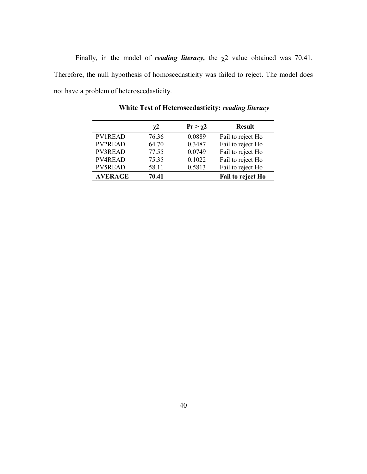Finally, in the model of *reading literacy*, the  $\chi$ 2 value obtained was 70.41. Therefore, the null hypothesis of homoscedasticity was failed to reject. The model does not have a problem of heteroscedasticity.

|                | $\chi^2$ | $Pr > \chi$ 2 | <b>Result</b>     |
|----------------|----------|---------------|-------------------|
| <b>PV1READ</b> | 76.36    | 0.0889        | Fail to reject Ho |
| <b>PV2READ</b> | 64.70    | 0.3487        | Fail to reject Ho |
| PV3READ        | 77.55    | 0.0749        | Fail to reject Ho |
| PV4READ        | 75.35    | 0.1022        | Fail to reject Ho |
| <b>PV5READ</b> | 58.11    | 0.5813        | Fail to reject Ho |
| <b>AVERAGE</b> | 70.41    |               | Fail to reject Ho |

**White Test of Heteroscedasticity:** *reading literacy*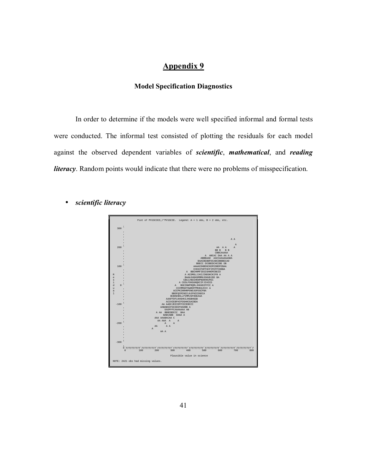#### **Model Specification Diagnostics**

In order to determine if the models were well specified informal and formal tests were conducted. The informal test consisted of plotting the residuals for each model against the observed dependent variables of *scientific*, *mathematical*, and *reading literacy*. Random points would indicate that there were no problems of misspecification.



• *scientific literacy*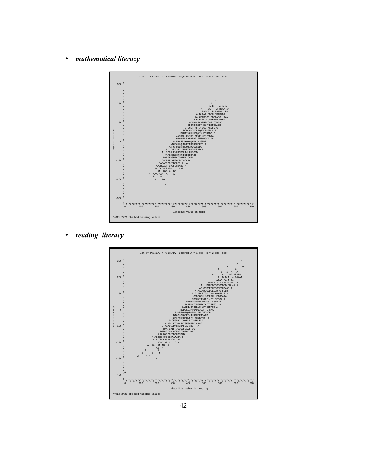• *mathematical literacy*



• *reading literacy*



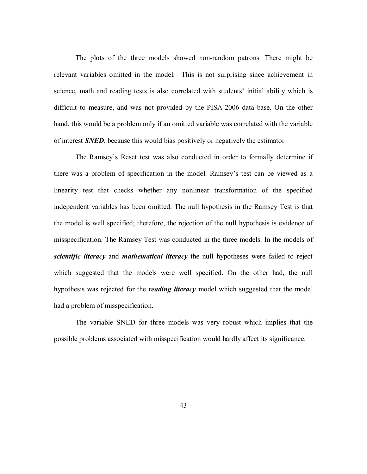The plots of the three models showed non-random patrons. There might be relevant variables omitted in the model. This is not surprising since achievement in science, math and reading tests is also correlated with students' initial ability which is difficult to measure, and was not provided by the PISA-2006 data base. On the other hand, this would be a problem only if an omitted variable was correlated with the variable of interest *SNED*, because this would bias positively or negatively the estimator

The Ramsey's Reset test was also conducted in order to formally determine if there was a problem of specification in the model. Ramsey's test can be viewed as a linearity test that checks whether any nonlinear transformation of the specified independent variables has been omitted. The null hypothesis in the Ramsey Test is that the model is well specified; therefore, the rejection of the null hypothesis is evidence of misspecification. The Ramsey Test was conducted in the three models. In the models of *scientific literacy* and *mathematical literacy* the null hypotheses were failed to reject which suggested that the models were well specified. On the other had, the null hypothesis was rejected for the *reading literacy* model which suggested that the model had a problem of misspecification.

 The variable SNED for three models was very robust which implies that the possible problems associated with misspecification would hardly affect its significance.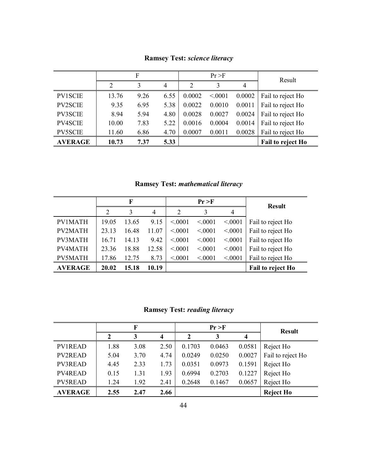|                |       | F    |                |                | Pr > F |        |                   |
|----------------|-------|------|----------------|----------------|--------|--------|-------------------|
|                | າ     | 3    | $\overline{4}$ | $\overline{2}$ | 3      | 4      | Result            |
| <b>PV1SCIE</b> | 13.76 | 9.26 | 6.55           | 0.0002         | < 0001 | 0.0002 | Fail to reject Ho |
| <b>PV2SCIE</b> | 9.35  | 6.95 | 5.38           | 0.0022         | 0.0010 | 0.0011 | Fail to reject Ho |
| PV3SCIE        | 8.94  | 5.94 | 4.80           | 0.0028         | 0.0027 | 0.0024 | Fail to reject Ho |
| PV4SCIE        | 10.00 | 7.83 | 5.22           | 0.0016         | 0.0004 | 0.0014 | Fail to reject Ho |
| <b>PV5SCIE</b> | 11.60 | 6.86 | 4.70           | 0.0007         | 0.0011 | 0.0028 | Fail to reject Ho |
| <b>AVERAGE</b> | 10.73 | 7.37 | 5.33           |                |        |        | Fail to reject Ho |

**Ramsey Test:** *science literacy*

**Ramsey Test:** *mathematical literacy*

|                |                | F     |       |        | Pr > F |        | <b>Result</b>     |
|----------------|----------------|-------|-------|--------|--------|--------|-------------------|
|                | $\overline{2}$ | 3     | 4     | 2      | 3      | 4      |                   |
| <b>PV1MATH</b> | 19.05          | 13.65 | 9.15  | < 0001 | < 0001 | < 0001 | Fail to reject Ho |
| <b>PV2MATH</b> | 23.13          | 16.48 | 11.07 | < 0001 | < 0001 | < 0001 | Fail to reject Ho |
| PV3MATH        | 16.71          | 14.13 | 9.42  | < 0001 | < 0001 | < 0001 | Fail to reject Ho |
| <b>PV4MATH</b> | 23.36          | 18.88 | 12.58 | < 0001 | < 0001 | < 0001 | Fail to reject Ho |
| PV5MATH        | 17.86          | 12.75 | 8.73  | < 0001 | < 0001 | < 0001 | Fail to reject Ho |
| <b>AVERAGE</b> | 20.02          | 15.18 | 10.19 |        |        |        | Fail to reject Ho |

**Ramsey Test:** *reading literacy*

|                |      | F    |                         |        | Pr > F |        | <b>Result</b>     |
|----------------|------|------|-------------------------|--------|--------|--------|-------------------|
|                |      | 3    | $\overline{\mathbf{4}}$ | 2      | 3      | 4      |                   |
| <b>PV1READ</b> | 1.88 | 3.08 | 2.50                    | 0.1703 | 0.0463 | 0.0581 | Reject Ho         |
| <b>PV2READ</b> | 5.04 | 3.70 | 4.74                    | 0.0249 | 0.0250 | 0.0027 | Fail to reject Ho |
| <b>PV3READ</b> | 4.45 | 2.33 | 1.73                    | 0.0351 | 0.0973 | 0.1591 | Reject Ho         |
| <b>PV4READ</b> | 0.15 | 1.31 | 1.93                    | 0.6994 | 0.2703 | 0.1227 | Reject Ho         |
| <b>PV5READ</b> | 1.24 | 1.92 | 2.41                    | 0.2648 | 0.1467 | 0.0657 | Reject Ho         |
| <b>AVERAGE</b> | 2.55 | 2.47 | 2.66                    |        |        |        | <b>Reject Ho</b>  |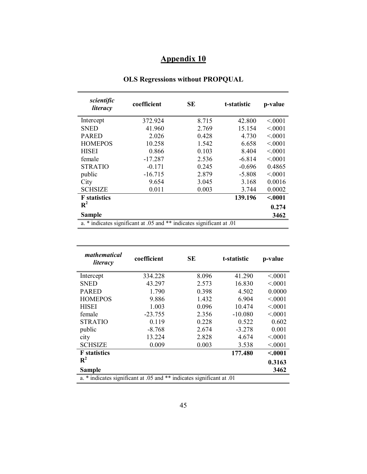| scientific<br>literacy | coefficient                                                           | SЕ    | t-statistic | p-value |
|------------------------|-----------------------------------------------------------------------|-------|-------------|---------|
| Intercept              | 372.924                                                               | 8.715 | 42.800      | < 0001  |
| <b>SNED</b>            | 41.960                                                                | 2.769 | 15.154      | < 0001  |
| <b>PARED</b>           | 2.026                                                                 | 0.428 | 4.730       | < 0001  |
| <b>HOMEPOS</b>         | 10.258                                                                | 1.542 | 6.658       | < 0001  |
| <b>HISEI</b>           | 0.866                                                                 | 0.103 | 8.404       | < 0001  |
| female                 | $-17.287$                                                             | 2.536 | $-6.814$    | < 0.001 |
| <b>STRATIO</b>         | $-0.171$                                                              | 0.245 | $-0.696$    | 0.4865  |
| public                 | $-16.715$                                                             | 2.879 | $-5.808$    | < 0001  |
| City                   | 9.654                                                                 | 3.045 | 3.168       | 0.0016  |
| <b>SCHSIZE</b>         | 0.011                                                                 | 0.003 | 3.744       | 0.0002  |
| <b>F</b> statistics    |                                                                       |       | 139.196     | < .0001 |
| $\mathbf{R}^2$         |                                                                       |       |             | 0.274   |
| <b>Sample</b>          |                                                                       |       |             | 3462    |
|                        | a. * indicates significant at .05 and ** indicates significant at .01 |       |             |         |

#### **OLS Regressions without PROPQUAL**

| mathematical<br>literacy                                              | coefficient | SЕ    | t-statistic | p-value |
|-----------------------------------------------------------------------|-------------|-------|-------------|---------|
| Intercept                                                             | 334.228     | 8.096 | 41.290      | < 0001  |
| <b>SNED</b>                                                           | 43.297      | 2.573 | 16.830      | < 0.001 |
| <b>PARED</b>                                                          | 1.790       | 0.398 | 4.502       | 0.0000  |
| <b>HOMEPOS</b>                                                        | 9.886       | 1.432 | 6.904       | < 0001  |
| <b>HISEI</b>                                                          | 1.003       | 0.096 | 10.474      | < 0001  |
| female                                                                | $-23.755$   | 2.356 | $-10.080$   | < 0001  |
| <b>STRATIO</b>                                                        | 0.119       | 0.228 | 0.522       | 0.602   |
| public                                                                | $-8.768$    | 2.674 | $-3.278$    | 0.001   |
| city                                                                  | 13.224      | 2.828 | 4.674       | < 0001  |
| <b>SCHSIZE</b>                                                        | 0.009       | 0.003 | 3.538       | < 0001  |
| <b>F</b> statistics                                                   |             |       | 177.480     | < .0001 |
| $\mathbf{R}^2$                                                        |             |       |             | 0.3163  |
| <b>Sample</b>                                                         |             |       |             | 3462    |
| a. * indicates significant at .05 and ** indicates significant at .01 |             |       |             |         |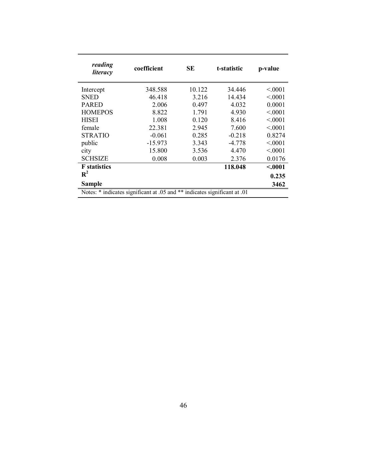| reading<br>literacy | coefficient                                                               | <b>SE</b> | t-statistic | p-value |
|---------------------|---------------------------------------------------------------------------|-----------|-------------|---------|
| Intercept           | 348.588                                                                   | 10.122    | 34.446      | < 0001  |
| <b>SNED</b>         | 46.418                                                                    | 3.216     | 14.434      | < 0001  |
| <b>PARED</b>        | 2.006                                                                     | 0.497     | 4.032       | 0.0001  |
| <b>HOMEPOS</b>      | 8.822                                                                     | 1.791     | 4.930       | < 0.001 |
| <b>HISEI</b>        | 1.008                                                                     | 0.120     | 8.416       | < 0001  |
| female              | 22.381                                                                    | 2.945     | 7.600       | < 0001  |
| <b>STRATIO</b>      | $-0.061$                                                                  | 0.285     | $-0.218$    | 0.8274  |
| public              | $-15.973$                                                                 | 3.343     | $-4.778$    | < 0001  |
| city                | 15.800                                                                    | 3.536     | 4.470       | < 0001  |
| <b>SCHSIZE</b>      | 0.008                                                                     | 0.003     | 2.376       | 0.0176  |
| <b>F</b> statistics |                                                                           |           | 118.048     | < .0001 |
| $\mathbf{R}^2$      |                                                                           |           |             | 0.235   |
| <b>Sample</b>       |                                                                           |           |             | 3462    |
|                     | Notes: * indicates significant at .05 and ** indicates significant at .01 |           |             |         |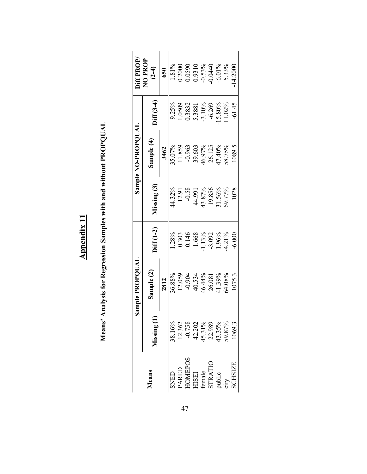**Meansí Analysis for Regression Samples with and without PROPQUAL**  Means' Analysis for Regression Samples with and without PROPQUAL

|                                                                             |                                                                                           | Sample PROPOUAL    |                     |                      | Sample NO-PROPOUAL |                     | diff PROP,                          |
|-----------------------------------------------------------------------------|-------------------------------------------------------------------------------------------|--------------------|---------------------|----------------------|--------------------|---------------------|-------------------------------------|
| Means                                                                       | Aissing (                                                                                 | Sample (2)         | $\lim_{\sim} (1-2)$ | $M$ issing $(3)$     | Sample (4)         | $\frac{1}{2}$ (3-4) | NO PROP<br>$\overline{)4}$          |
|                                                                             |                                                                                           | 2812               |                     |                      | 3462               |                     | 650                                 |
| SNED                                                                        | 38.16%                                                                                    | 36.88%             | 1.28%               | 44.32%               | 35.07%             | 9.25%               | 1.81%                               |
|                                                                             |                                                                                           | 12.059             | 0.303               |                      | 11.859             | 1.0509              | 0.2000                              |
|                                                                             | $\begin{array}{l} 12.362 \\ -0.758 \\ 42.202 \\ 45.31\% \\ 22.989 \\ 43.35\% \end{array}$ |                    | 0.146               | $\frac{12.91}{0.58}$ | $-0.963$           | 0.3832              | 0.0590<br>0.9310<br>0.53%<br>0.0440 |
|                                                                             |                                                                                           | $-0.904$<br>40.534 | 1.668               | 44.991               | 39.603             | 5.3881              |                                     |
|                                                                             |                                                                                           | 16.44%             | 1.13%               | 43.87%               | 46.97%             | $-3.10%$            |                                     |
|                                                                             |                                                                                           | 26.081             | $-3.092$            | 19.856               | 26.125             | $-6.269$            |                                     |
|                                                                             |                                                                                           | 41.39%             | 1.96%               | 31.56%               | 47.40%             | 15.80%              | $-6.01\%$                           |
|                                                                             |                                                                                           | 54.08%             | 4.21%               | 59.77%               | 58.75%             | 1.02%               | 5.33%                               |
| PARED<br>HOMEPOS<br>HISEI<br>HISEI<br>STRATIO<br>SCHSIZE<br>aity<br>sCHSIZE | 1069.3                                                                                    | 1075.3             | $-6.000$            | 1028                 | 1089.5             | $-61.45$            | 4.2000                              |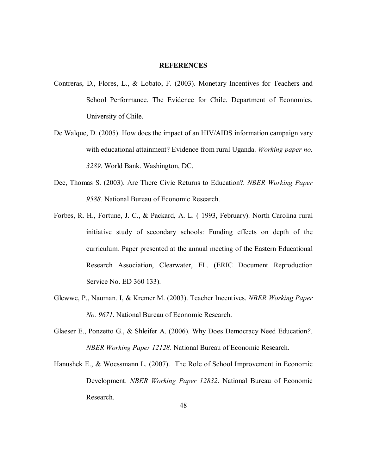#### **REFERENCES**

- Contreras, D., Flores, L., & Lobato, F. (2003). Monetary Incentives for Teachers and School Performance. The Evidence for Chile. Department of Economics. University of Chile.
- De Walque, D. (2005). How does the impact of an HIV/AIDS information campaign vary with educational attainment? Evidence from rural Uganda. *Working paper no. 3289*. World Bank. Washington, DC.
- Dee, Thomas S. (2003). Are There Civic Returns to Education?. *NBER Working Paper 9588.* National Bureau of Economic Research.
- Forbes, R. H., Fortune, J. C., & Packard, A. L. ( 1993, February). North Carolina rural initiative study of secondary schools: Funding effects on depth of the curriculum*.* Paper presented at the annual meeting of the Eastern Educational Research Association, Clearwater, FL. (ERIC Document Reproduction Service No. ED 360 133).
- Glewwe, P., Nauman. I, & Kremer M. (2003). Teacher Incentives. *NBER Working Paper No. 9671*. National Bureau of Economic Research.
- Glaeser E., Ponzetto G., & Shleifer A. (2006). Why Does Democracy Need Education*?. NBER Working Paper 12128*. National Bureau of Economic Research.
- Hanushek E., & Woessmann L. (2007). The Role of School Improvement in Economic Development. *NBER Working Paper 12832*. National Bureau of Economic Research.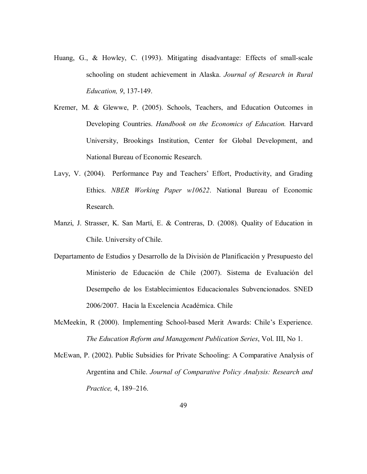- Huang, G., & Howley, C. (1993). Mitigating disadvantage: Effects of small-scale schooling on student achievement in Alaska. *Journal of Research in Rural Education, 9*, 137-149.
- Kremer, M. & Glewwe, P. (2005). Schools, Teachers, and Education Outcomes in Developing Countries. *Handbook on the Economics of Education.* Harvard University, Brookings Institution, Center for Global Development, and National Bureau of Economic Research.
- Lavy, V. (2004). Performance Pay and Teachers' Effort, Productivity, and Grading Ethics. *NBER Working Paper w10622*. National Bureau of Economic Research.
- Manzi, J. Strasser, K. San Martí, E. & Contreras, D. (2008). Quality of Education in Chile. University of Chile.
- Departamento de Estudios y Desarrollo de la División de Planificación y Presupuesto del Ministerio de Educación de Chile (2007). Sistema de Evaluación del Desempeño de los Establecimientos Educacionales Subvencionados. SNED 2006/2007. Hacia la Excelencia Académica. Chile
- McMeekin, R (2000). Implementing School-based Merit Awards: Chile's Experience. *The Education Reform and Management Publication Series*, Vol. III, No 1.
- McEwan, P. (2002). Public Subsidies for Private Schooling: A Comparative Analysis of Argentina and Chile. *Journal of Comparative Policy Analysis: Research and Practice, 4, 189-216.*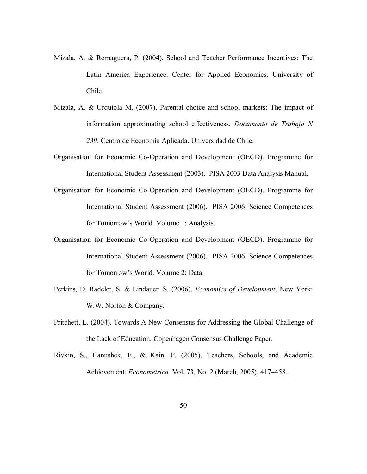- Mizala, A. & Romaguera, P. (2004). School and Teacher Performance Incentives: The Latin America Experience. Center for Applied Economics. University of Chile.
- Mizala, A. & Urquiola M. (2007). Parental choice and school markets: The impact of information approximating school effectiveness. *Documento de Trabajo N 239*. Centro de EconomÌa Aplicada. Universidad de Chile.
- Organisation for Economic Co-Operation and Development (OECD). Programme for International Student Assessment (2003). PISA 2003 Data Analysis Manual.
- Organisation for Economic Co-Operation and Development (OECD). Programme for International Student Assessment (2006). PISA 2006. Science Competences for Tomorrow's World. Volume 1: Analysis.
- Organisation for Economic Co-Operation and Development (OECD). Programme for International Student Assessment (2006). PISA 2006. Science Competences for Tomorrow's World. Volume 2: Data.
- Perkins, D. Radelet, S. & Lindauer*,* S. (2006). *Economics of Development*. New York: W.W. Norton & Company.
- Pritchett, L. (2004). Towards A New Consensus for Addressing the Global Challenge of the Lack of Education. Copenhagen Consensus Challenge Paper.
- Rivkin, S., Hanushek, E., & Kain, F. (2005). Teachers, Schools, and Academic Achievement. *Econometrica*. Vol. 73, No. 2 (March, 2005), 417-458.